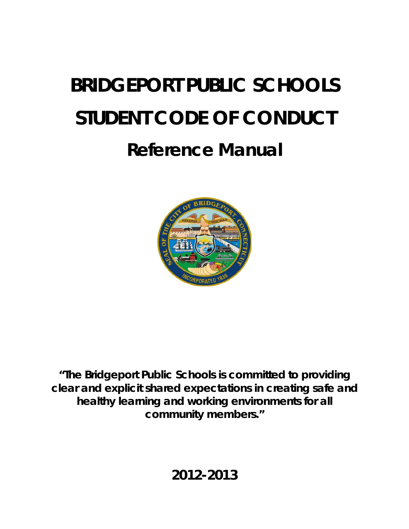# **BRIDGEPORT PUBLIC SCHOOLS STUDENT CODE OF CONDUCT**

## **Reference Manual**



*"The Bridgeport Public Schools is committed to providing clear and explicit shared expectations in creating safe and healthy learning and working environments for all community members."*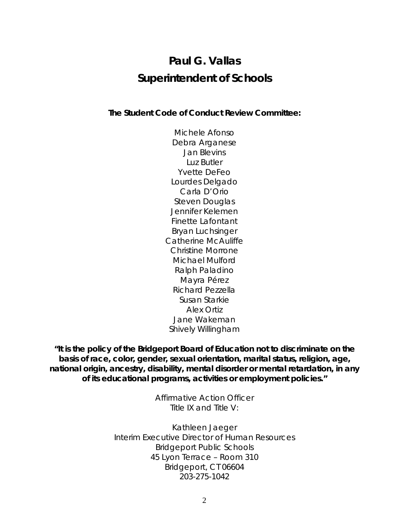## **Paul G. Vallas Superintendent of Schools**

#### **The Student Code of Conduct Review Committee:**

Michele Afonso Debra Arganese Jan Blevins Luz Butler Yvette DeFeo Lourdes Delgado Carla D'Orio Steven Douglas Jennifer Kelemen Finette Lafontant Bryan Luchsinger Catherine McAuliffe Christine Morrone Michael Mulford Ralph Paladino Mayra Pérez Richard Pezzella Susan Starkie Alex Ortiz Jane Wakeman Shively Willingham

**"It is the policy of the Bridgeport Board of Education not to discriminate on the basis of race, color, gender, sexual orientation, marital status, religion, age, national origin, ancestry, disability, mental disorder or mental retardation, in any of its educational programs, activities or employment policies."** 

> Affirmative Action Officer Title IX and Title V:

Kathleen Jaeger Interim Executive Director of Human Resources Bridgeport Public Schools 45 Lyon Terrace – Room 310 Bridgeport, CT 06604 203-275-1042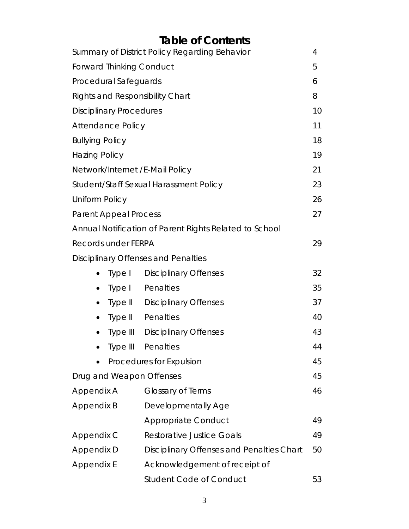## **Table of Contents**

|                                        | Summary of District Policy Regarding Behavior          | 4  |
|----------------------------------------|--------------------------------------------------------|----|
| Forward Thinking Conduct               |                                                        | 5  |
| Procedural Safeguards                  |                                                        | 6  |
| <b>Rights and Responsibility Chart</b> |                                                        | 8  |
| <b>Disciplinary Procedures</b>         |                                                        | 10 |
| <b>Attendance Policy</b>               |                                                        | 11 |
| <b>Bullying Policy</b>                 |                                                        | 18 |
| <b>Hazing Policy</b>                   |                                                        | 19 |
| Network/Internet / E-Mail Policy       |                                                        | 21 |
|                                        | Student/Staff Sexual Harassment Policy                 | 23 |
| <b>Uniform Policy</b>                  |                                                        | 26 |
| <b>Parent Appeal Process</b>           |                                                        | 27 |
|                                        | Annual Notification of Parent Rights Related to School |    |
| Records under FERPA                    |                                                        | 29 |
|                                        | Disciplinary Offenses and Penalties                    |    |
| Type I                                 | <b>Disciplinary Offenses</b>                           | 32 |
| ٠                                      | Type I Penalties                                       | 35 |
| ٠                                      | <b>Type II</b> Disciplinary Offenses                   | 37 |
| $\bullet$                              | Type II Penalties                                      | 40 |
|                                        | <b>Type III</b> Disciplinary Offenses                  | 43 |
| Type III                               | Penalties                                              | 44 |
|                                        | Procedures for Expulsion                               | 45 |
| Drug and Weapon Offenses               |                                                        | 45 |
| Appendix A                             | <b>Glossary of Terms</b>                               | 46 |
| Appendix B                             | Developmentally Age                                    |    |
|                                        | <b>Appropriate Conduct</b>                             | 49 |
| Appendix C                             | <b>Restorative Justice Goals</b>                       | 49 |
| Appendix D                             | <b>Disciplinary Offenses and Penalties Chart</b>       | 50 |
| Appendix E                             | Acknowledgement of receipt of                          |    |
|                                        | <b>Student Code of Conduct</b>                         | 53 |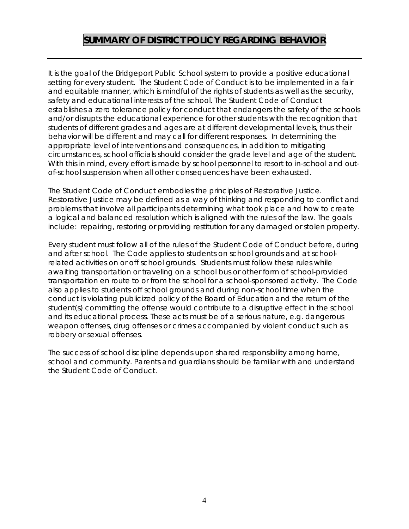## **SUMMARY OF DISTRICT POLICY REGARDING BEHAVIOR**

It is the goal of the Bridgeport Public School system to provide a positive educational setting for every student. The Student Code of Conduct is to be implemented in a fair and equitable manner, which is mindful of the rights of students as well as the security, safety and educational interests of the school. The Student Code of Conduct establishes a zero tolerance policy for conduct that endangers the safety of the schools and/or disrupts the educational experience for other students with the recognition that students of different grades and ages are at different developmental levels, thus their behavior will be different and may call for different responses. In determining the appropriate level of interventions and consequences, in addition to mitigating circumstances, school officials should consider the grade level and age of the student. With this in mind, every effort is made by school personnel to resort to in-school and outof-school suspension when all other consequences have been exhausted.

The Student Code of Conduct embodies the principles of Restorative Justice. Restorative Justice may be defined as a way of thinking and responding to conflict and problems that involve all participants determining what took place and how to create a logical and balanced resolution which is aligned with the rules of the law. The goals include: repairing, restoring or providing restitution for any damaged or stolen property.

Every student must follow all of the rules of the Student Code of Conduct before, during and after school. The Code applies to students on school grounds and at schoolrelated activities on or off school grounds. Students must follow these rules while awaiting transportation or traveling on a school bus or other form of school-provided transportation en route to or from the school for a school-sponsored activity. The Code also applies to students off school grounds and during non-school time when the conduct is violating publicized policy of the Board of Education and the return of the student(s) committing the offense would contribute to a disruptive effect in the school and its educational process. These acts must be of a serious nature, e.g. dangerous weapon offenses, drug offenses or crimes accompanied by violent conduct such as robbery or sexual offenses.

The success of school discipline depends upon shared responsibility among home, school and community. Parents and guardians should be familiar with and understand the Student Code of Conduct.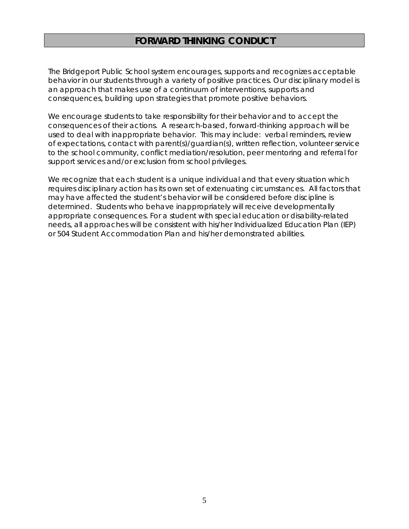## **FORWARD THINKING CONDUCT**

The Bridgeport Public School system encourages, supports and recognizes acceptable behavior in our students through a variety of positive practices. Our disciplinary model is an approach that makes use of a continuum of interventions, supports and consequences, building upon strategies that promote positive behaviors.

We encourage students to take responsibility for their behavior and to accept the consequences of their actions. A research-based, forward-thinking approach will be used to deal with inappropriate behavior. This may include: verbal reminders, review of expectations, contact with parent(s)/guardian(s), written reflection, volunteer service to the school community, conflict mediation/resolution, peer mentoring and referral for support services and/or exclusion from school privileges.

We recognize that each student is a unique individual and that every situation which requires disciplinary action has its own set of extenuating circumstances. All factors that may have affected the student's behavior will be considered before discipline is determined. Students who behave inappropriately will receive developmentally appropriate consequences. For a student with special education or disability-related needs, all approaches will be consistent with his/her Individualized Education Plan (IEP) or 504 Student Accommodation Plan and his/her demonstrated abilities.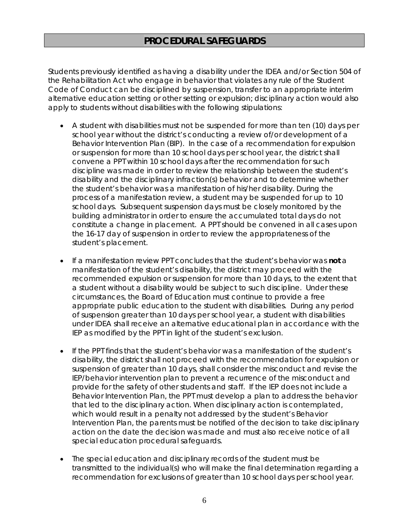Students previously identified as having a disability under the IDEA and/or Section 504 of the Rehabilitation Act who engage in behavior that violates any rule of the Student Code of Conduct can be disciplined by suspension, transfer to an appropriate interim alternative education setting or other setting or expulsion; disciplinary action would also apply to students without disabilities with the following stipulations:

- A student with disabilities must not be suspended for more than ten (10) days per school year without the district's conducting a review of/or development of a Behavior Intervention Plan (BIP). In the case of a recommendation for expulsion or suspension for more than 10 school days per school year, the district shall convene a PPT within 10 school days after the recommendation for such discipline was made in order to review the relationship between the student's disability and the disciplinary infraction(s) behavior and to determine whether the student's behavior was a manifestation of his/her disability. During the process of a manifestation review, a student may be suspended for up to 10 school days. Subsequent suspension days must be closely monitored by the building administrator in order to ensure the accumulated total days do not constitute a change in placement. A PPT should be convened in all cases upon the 16-17 day of suspension in order to review the appropriateness of the student's placement.
- If a manifestation review PPT concludes that the student's behavior was **not** a manifestation of the student's disability, the district may proceed with the recommended expulsion or suspension for more than 10 days, to the extent that a student without a disability would be subject to such discipline. Under these circumstances, the Board of Education must continue to provide a free appropriate public education to the student with disabilities. During any period of suspension greater than 10 days per school year, a student with disabilities under IDEA shall receive an alternative educational plan in accordance with the IEP as modified by the PPT in light of the student's exclusion.
- If the PPT finds that the student's behavior was a manifestation of the student's disability, the district shall not proceed with the recommendation for expulsion or suspension of greater than 10 days, shall consider the misconduct and revise the IEP/behavior intervention plan to prevent a recurrence of the misconduct and provide for the safety of other students and staff. If the IEP does not include a Behavior Intervention Plan, the PPT must develop a plan to address the behavior that led to the disciplinary action. When disciplinary action is contemplated, which would result in a penalty not addressed by the student's Behavior Intervention Plan, the parents must be notified of the decision to take disciplinary action on the date the decision was made and must also receive notice of all special education procedural safeguards.
- The special education and disciplinary records of the student must be transmitted to the individual(s) who will make the final determination regarding a recommendation for exclusions of greater than 10 school days per school year.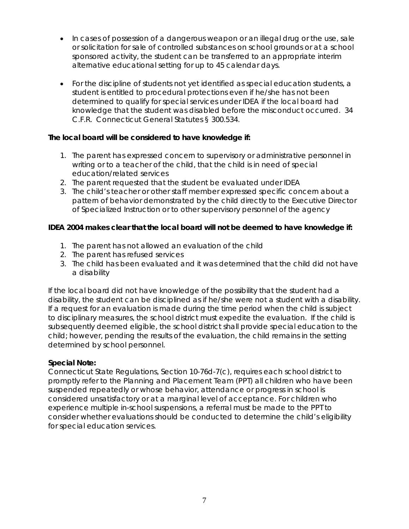- In cases of possession of a dangerous weapon or an illegal drug or the use, sale or solicitation for sale of controlled substances on school grounds or at a school sponsored activity, the student can be transferred to an appropriate interim alternative educational setting for up to 45 calendar days.
- For the discipline of students not yet identified as special education students, a student is entitled to procedural protections even if he/she has not been determined to qualify for special services under IDEA if the local board had knowledge that the student was disabled before the misconduct occurred. 34 C.F.R. Connecticut General Statutes § 300.534.

#### **The local board will be considered to have knowledge if:**

- 1. The parent has expressed concern to supervisory or administrative personnel in writing or to a teacher of the child, that the child is in need of special education/related services
- 2. The parent requested that the student be evaluated under IDEA
- 3. The child's teacher or other staff member expressed specific concern about a pattern of behavior demonstrated by the child directly to the Executive Director of Specialized Instruction or to other supervisory personnel of the agency

#### **IDEA 2004 makes clear that the local board will not be deemed to have knowledge if:**

- 1. The parent has not allowed an evaluation of the child
- 2. The parent has refused services
- 3. The child has been evaluated and it was determined that the child did not have a disability

If the local board did not have knowledge of the possibility that the student had a disability, the student can be disciplined as if he/she were not a student with a disability. If a request for an evaluation is made during the time period when the child is subject to disciplinary measures, the school district must expedite the evaluation. If the child is subsequently deemed eligible, the school district shall provide special education to the child; however, pending the results of the evaluation, the child remains in the setting determined by school personnel.

#### **Special Note:**

Connecticut State Regulations, Section 10-76d-7(c), requires each school district to promptly refer to the Planning and Placement Team (PPT) all children who have been suspended repeatedly or whose behavior, attendance or progress in school is considered unsatisfactory or at a marginal level of acceptance. For children who experience multiple in-school suspensions, a referral must be made to the PPT to consider whether evaluations should be conducted to determine the child's eligibility for special education services.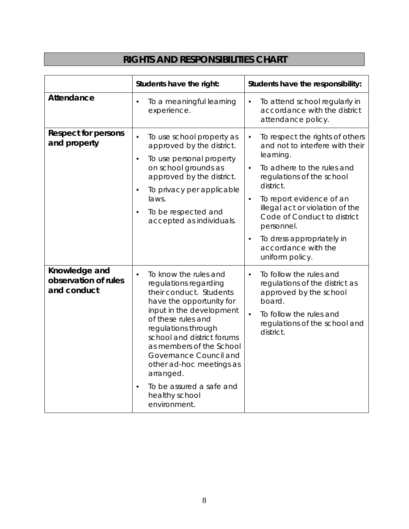## **RIGHTS AND RESPONSIBILITIES CHART**

|                                                      | Students have the right:                                                                                                                                                                                                                                                                                                                                                               | Students have the responsibility:                                                                                                                                                                                                                                                                                                                                                              |  |
|------------------------------------------------------|----------------------------------------------------------------------------------------------------------------------------------------------------------------------------------------------------------------------------------------------------------------------------------------------------------------------------------------------------------------------------------------|------------------------------------------------------------------------------------------------------------------------------------------------------------------------------------------------------------------------------------------------------------------------------------------------------------------------------------------------------------------------------------------------|--|
| <b>Attendance</b>                                    | To a meaningful learning<br>$\bullet$<br>experience.                                                                                                                                                                                                                                                                                                                                   | To attend school regularly in<br>$\bullet$<br>accordance with the district<br>attendance policy.                                                                                                                                                                                                                                                                                               |  |
| <b>Respect for persons</b><br>and property           | To use school property as<br>$\bullet$<br>approved by the district.<br>To use personal property<br>$\bullet$<br>on school grounds as<br>approved by the district.<br>To privacy per applicable<br>$\bullet$<br>laws.<br>To be respected and<br>accepted as individuals.                                                                                                                | To respect the rights of others<br>$\bullet$<br>and not to interfere with their<br>learning.<br>To adhere to the rules and<br>$\bullet$<br>regulations of the school<br>district.<br>To report evidence of an<br>$\bullet$<br>illegal act or violation of the<br>Code of Conduct to district<br>personnel.<br>To dress appropriately in<br>$\bullet$<br>accordance with the<br>uniform policy. |  |
| Knowledge and<br>observation of rules<br>and conduct | To know the rules and<br>$\bullet$<br>regulations regarding<br>their conduct. Students<br>have the opportunity for<br>input in the development<br>of these rules and<br>regulations through<br>school and district forums<br>as members of the School<br>Governance Council and<br>other ad-hoc meetings as<br>arranged.<br>To be assured a safe and<br>healthy school<br>environment. | To follow the rules and<br>$\bullet$<br>regulations of the district as<br>approved by the school<br>board.<br>To follow the rules and<br>regulations of the school and<br>district.                                                                                                                                                                                                            |  |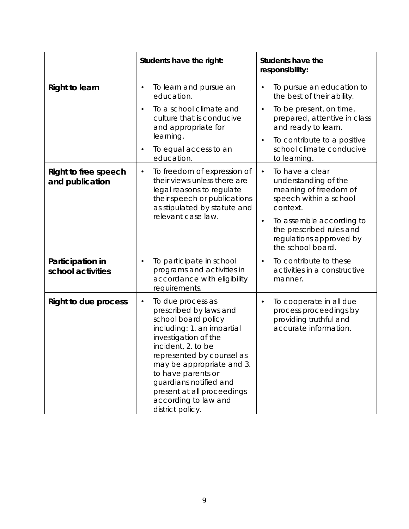|                                         | Students have the right:                                                                                                                                                                                                                                                                                                                        | <b>Students have the</b><br>responsibility:                                                                         |
|-----------------------------------------|-------------------------------------------------------------------------------------------------------------------------------------------------------------------------------------------------------------------------------------------------------------------------------------------------------------------------------------------------|---------------------------------------------------------------------------------------------------------------------|
| <b>Right to learn</b>                   | To learn and pursue an<br>$\bullet$<br>education.                                                                                                                                                                                                                                                                                               | To pursue an education to<br>the best of their ability.                                                             |
|                                         | To a school climate and<br>$\bullet$<br>culture that is conducive<br>and appropriate for                                                                                                                                                                                                                                                        | To be present, on time,<br>$\bullet$<br>prepared, attentive in class<br>and ready to learn.                         |
|                                         | learning.<br>To equal access to an<br>education.                                                                                                                                                                                                                                                                                                | To contribute to a positive<br>school climate conducive<br>to learning.                                             |
| Right to free speech<br>and publication | To freedom of expression of<br>$\bullet$<br>their views unless there are<br>legal reasons to regulate<br>their speech or publications<br>as stipulated by statute and                                                                                                                                                                           | To have a clear<br>$\bullet$<br>understanding of the<br>meaning of freedom of<br>speech within a school<br>context. |
|                                         | relevant case law.                                                                                                                                                                                                                                                                                                                              | To assemble according to<br>$\bullet$<br>the prescribed rules and<br>regulations approved by<br>the school board.   |
| Participation in<br>school activities   | To participate in school<br>٠<br>programs and activities in<br>accordance with eligibility<br>requirements.                                                                                                                                                                                                                                     | To contribute to these<br>$\bullet$<br>activities in a constructive<br>manner.                                      |
| <b>Right to due process</b>             | To due process as<br>$\bullet$<br>prescribed by laws and<br>school board policy<br>including: 1. an impartial<br>investigation of the<br>incident, 2. to be<br>represented by counsel as<br>may be appropriate and 3.<br>to have parents or<br>guardians notified and<br>present at all proceedings<br>according to law and<br>district policy. | To cooperate in all due<br>$\bullet$<br>process proceedings by<br>providing truthful and<br>accurate information.   |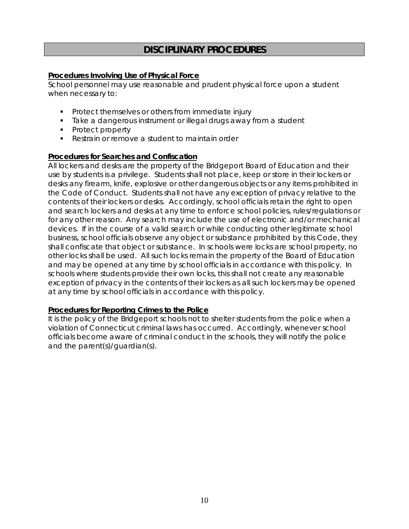## **DISCIPLINARY PROCEDURES**

#### **Procedures Involving Use of Physical Force**

School personnel may use reasonable and prudent physical force upon a student when necessary to:

- **Protect themselves or others from immediate injury**
- **Take a dangerous instrument or illegal drugs away from a student**
- Protect property
- Restrain or remove a student to maintain order

#### **Procedures for Searches and Confiscation**

All lockers and desks are the property of the Bridgeport Board of Education and their use by students is a privilege. Students shall not place, keep or store in their lockers or desks any firearm, knife, explosive or other dangerous objects or any items prohibited in the Code of Conduct. Students shall not have any exception of privacy relative to the contents of their lockers or desks. Accordingly, school officials retain the right to open and search lockers and desks at any time to enforce school policies, rules/regulations or for any other reason. Any search may include the use of electronic and/or mechanical devices. If in the course of a valid search or while conducting other legitimate school business, school officials observe any object or substance prohibited by this Code, they shall confiscate that object or substance. In schools were locks are school property, no other locks shall be used. All such locks remain the property of the Board of Education and may be opened at any time by school officials in accordance with this policy. In schools where students provide their own locks, this shall not create any reasonable exception of privacy in the contents of their lockers as all such lockers may be opened at any time by school officials in accordance with this policy.

#### **Procedures for Reporting Crimes to the Police**

It is the policy of the Bridgeport schools not to shelter students from the police when a violation of Connecticut criminal laws has occurred. Accordingly, whenever school officials become aware of criminal conduct in the schools, they will notify the police and the parent(s)/guardian(s).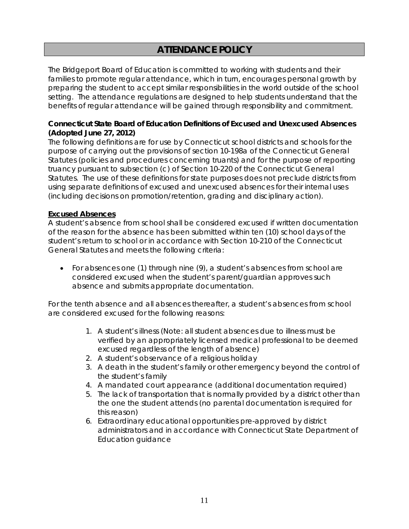## **ATTENDANCE POLICY**

The Bridgeport Board of Education is committed to working with students and their families to promote regular attendance, which in turn, encourages personal growth by preparing the student to accept similar responsibilities in the world outside of the school setting. The attendance regulations are designed to help students understand that the benefits of regular attendance will be gained through responsibility and commitment.

#### **Connecticut State Board of Education Definitions of Excused and Unexcused Absences (Adopted June 27, 2012)**

The following definitions are for use by Connecticut school districts and schools for the purpose of carrying out the provisions of section 10-198a of the Connecticut General Statutes (policies and procedures concerning truants) and for the purpose of reporting truancy pursuant to subsection (c) of Section 10-220 of the Connecticut General Statutes. The use of these definitions for state purposes does not preclude districts from using separate definitions of excused and unexcused absences for their internal uses (including decisions on promotion/retention, grading and disciplinary action).

#### **Excused Absences**

A student's absence from school shall be considered excused if written documentation of the reason for the absence has been submitted within ten (10) school days of the student's return to school or in accordance with Section 10-210 of the Connecticut General Statutes and meets the following criteria:

• For absences one (1) through nine (9), a student's absences from school are considered excused when the student's parent/guardian approves such absence and submits appropriate documentation.

For the tenth absence and all absences thereafter, a student's absences from school are considered excused for the following reasons:

- 1. A student's illness (Note: all student absences due to illness must be verified by an appropriately licensed medical professional to be deemed excused regardless of the length of absence)
- 2. A student's observance of a religious holiday
- 3. A death in the student's family or other emergency beyond the control of the student's family
- 4. A mandated court appearance (additional documentation required)
- 5. The lack of transportation that is normally provided by a district other than the one the student attends (no parental documentation is required for this reason)
- 6. Extraordinary educational opportunities pre-approved by district administrators and in accordance with Connecticut State Department of Education guidance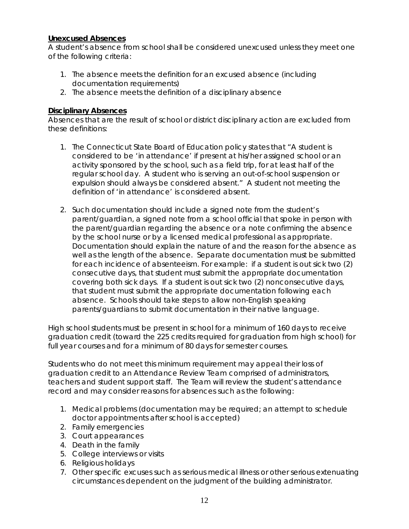#### **Unexcused Absences**

A student's absence from school shall be considered unexcused unless they meet one of the following criteria:

- 1. The absence meets the definition for an excused absence (including documentation requirements)
- 2. The absence meets the definition of a disciplinary absence

#### **Disciplinary Absences**

Absences that are the result of school or district disciplinary action are excluded from these definitions:

- 1. The Connecticut State Board of Education policy states that "*A student is considered to be 'in attendance' if present at his/her assigned school or an activity sponsored by the school, such as a field trip, for at least half of the regular school day. A student who is serving an out-of-school suspension or expulsion should always be considered absent."* A student not meeting the definition of 'in attendance' is considered absent.
- 2. Such documentation should include a signed note from the student's parent/guardian, a signed note from a school official that spoke in person with the parent/guardian regarding the absence or a note confirming the absence by the school nurse or by a licensed medical professional as appropriate. Documentation should explain the nature of and the reason for the absence as well as the length of the absence. Separate documentation must be submitted for each incidence of absenteeism. For example: if a student is out sick two (2) consecutive days, that student must submit the appropriate documentation covering both sick days. If a student is out sick two (2) nonconsecutive days, that student must submit the appropriate documentation following each absence. Schools should take steps to allow non-English speaking parents/guardians to submit documentation in their native language.

High school students must be present in school for a minimum of 160 days to receive graduation credit (toward the 225 credits required for graduation from high school) for full year courses and for a minimum of 80 days for semester courses.

Students who do not meet this minimum requirement may appeal their loss of graduation credit to an Attendance Review Team comprised of administrators, teachers and student support staff. The Team will review the student's attendance record and may consider reasons for absences such as the following:

- 1. Medical problems (documentation may be required; an attempt to schedule doctor appointments after school is accepted)
- 2. Family emergencies
- 3. Court appearances
- 4. Death in the family
- 5. College interviews or visits
- 6. Religious holidays
- 7. Other specific excuses such as serious medical illness or other serious extenuating circumstances dependent on the judgment of the building administrator.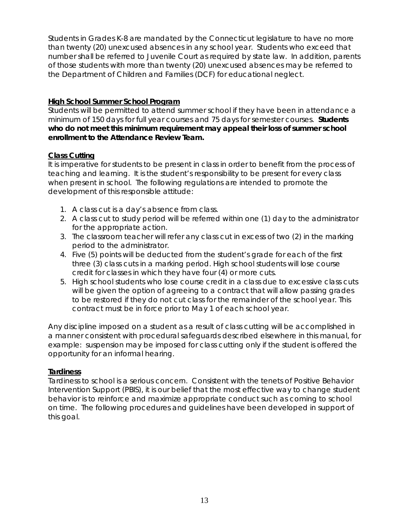Students in Grades K-8 are mandated by the Connecticut legislature to have no more than twenty (20) unexcused absences in any school year. Students who exceed that number shall be referred to Juvenile Court as required by state law. In addition, parents of those students with more than twenty (20) unexcused absences may be referred to the Department of Children and Families (DCF) for educational neglect.

#### **High School Summer School Program**

Students will be permitted to attend summer school if they have been in attendance a minimum of 150 days for full year courses and 75 days for semester courses. **Students who do not meet this minimum requirement may appeal their loss of summer school enrollment to the Attendance Review Team.** 

#### **Class Cutting**

It is imperative for students to be present in class in order to benefit from the process of teaching and learning. It is the student's responsibility to be present for every class when present in school. The following regulations are intended to promote the development of this responsible attitude:

- 1. A class cut is a day's absence from class.
- 2. A class cut to study period will be referred within one (1) day to the administrator for the appropriate action.
- 3. The classroom teacher will refer any class cut in excess of two (2) in the marking period to the administrator.
- 4. Five (5) points will be deducted from the student's grade for each of the first three (3) class cuts in a marking period. High school students will lose course credit for classes in which they have four (4) or more cuts.
- 5. High school students who lose course credit in a class due to excessive class cuts will be given the option of agreeing to a contract that will allow passing grades to be restored if they do not cut class for the remainder of the school year. This contract must be in force prior to May 1 of each school year.

Any discipline imposed on a student as a result of class cutting will be accomplished in a manner consistent with procedural safeguards described elsewhere in this manual, for example: suspension may be imposed for class cutting only if the student is offered the opportunity for an informal hearing.

#### **Tardiness**

Tardiness to school is a serious concern. Consistent with the tenets of Positive Behavior Intervention Support (PBIS), it is our belief that the most effective way to change student behavior is to reinforce and maximize appropriate conduct such as coming to school on time. The following procedures and guidelines have been developed in support of this goal.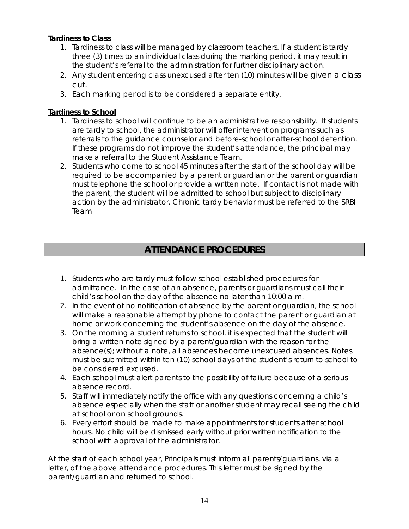#### **Tardiness to Class**

- 1. Tardiness to class will be managed by classroom teachers. If a student is tardy three (3) times to an individual class during the marking period, it may result in the student's referral to the administration for further disciplinary action.
- 2. Any student entering class unexcused after ten (10) minutes will be given a class cut.
- 3. Each marking period is to be considered a separate entity.

#### **Tardiness to School**

- 1. Tardiness to school will continue to be an administrative responsibility. If students are tardy to school, the administrator will offer intervention programs such as referrals to the guidance counselor and before-school or after-school detention. If these programs do not improve the student's attendance, the principal may make a referral to the Student Assistance Team.
- 2. Students who come to school 45 minutes after the start of the school day will be required to be accompanied by a parent or guardian or the parent or guardian must telephone the school or provide a written note. If contact is not made with the parent, the student will be admitted to school but subject to disciplinary action by the administrator. Chronic tardy behavior must be referred to the SRBI Team

## **ATTENDANCE PROCEDURES**

- 1. Students who are tardy must follow school established procedures for admittance. In the case of an absence, parents or guardians must call their child's school on the day of the absence no later than 10:00 a.m.
- 2. In the event of no notification of absence by the parent or guardian, the school will make a reasonable attempt by phone to contact the parent or guardian at home or work concerning the student's absence on the day of the absence.
- 3. On the morning a student returns to school, it is expected that the student will bring a written note signed by a parent/guardian with the reason for the absence(s); without a note, all absences become unexcused absences. Notes must be submitted within ten (10) school days of the student's return to school to be considered excused.
- 4. Each school must alert parents to the possibility of failure because of a serious absence record.
- 5. Staff will immediately notify the office with any questions concerning a child's absence especially when the staff or another student may recall seeing the child at school or on school grounds.
- 6. Every effort should be made to make appointments for students after school hours. No child will be dismissed early without prior written notification to the school with approval of the administrator.

At the start of each school year, Principals must inform all parents/guardians, via a letter, of the above attendance procedures. This letter must be signed by the parent/guardian and returned to school.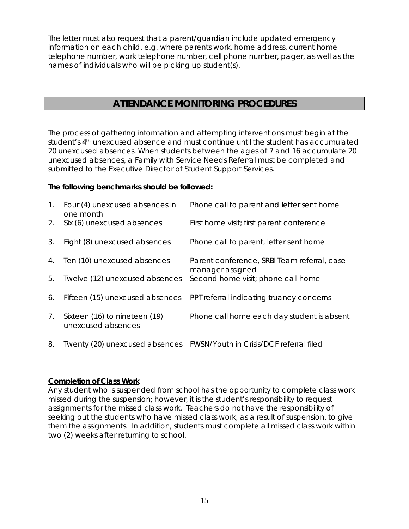The letter must also request that a parent/guardian include updated emergency information on each child, e.g. where parents work, home address, current home telephone number, work telephone number, cell phone number, pager, as well as the names of individuals who will be picking up student(s).

## **ATTENDANCE MONITORING PROCEDURES**

The process of gathering information and attempting interventions must begin at the student's 4<sup>th</sup> unexcused absence and must continue until the student has accumulated 20 unexcused absences. When students between the ages of 7 and 16 accumulate 20 unexcused absences, a Family with Service Needs Referral must be completed and submitted to the Executive Director of Student Support Services.

#### **The following benchmarks should be followed:**

| 1.          | Four (4) unexcused absences in<br>one month         | Phone call to parent and letter sent home                              |
|-------------|-----------------------------------------------------|------------------------------------------------------------------------|
| 2.          | Six (6) unexcused absences                          | First home visit; first parent conference                              |
| 3.          | Eight (8) unexcused absences                        | Phone call to parent, letter sent home                                 |
| 4.          | Ten (10) unexcused absences                         | Parent conference, SRBI Team referral, case<br>manager assigned        |
| 5.          | Twelve (12) unexcused absences                      | Second home visit; phone call home                                     |
| 6.          | Fifteen (15) unexcused absences                     | PPT referral indicating truancy concerns                               |
| $7_{\cdot}$ | Sixteen (16) to nineteen (19)<br>unexcused absences | Phone call home each day student is absent                             |
| 8.          |                                                     | Twenty (20) unexcused absences FWSN/Youth in Crisis/DCF referral filed |

#### **Completion of Class Work**

Any student who is suspended from school has the opportunity to complete class work missed during the suspension; however, it is the student's responsibility to request assignments for the missed class work. Teachers do not have the responsibility of seeking out the students who have missed class work, as a result of suspension, to give them the assignments. In addition, students must complete all missed class work within two (2) weeks after returning to school.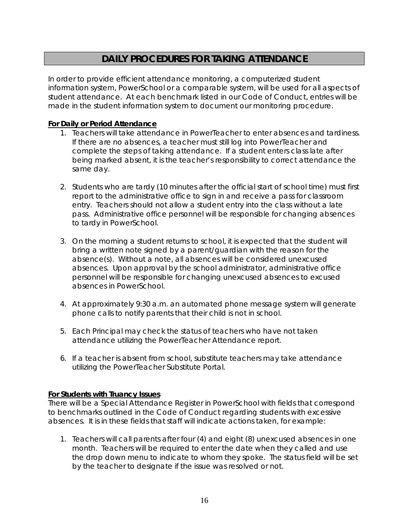## **DAILY PROCEDURES FOR TAKING ATTENDANCE**

In order to provide efficient attendance monitoring, a computerized student information system, PowerSchool or a comparable system, will be used for all aspects of student attendance. At each benchmark listed in our Code of Conduct, entries will be made in the student information system to document our monitoring procedure.

#### **For Daily or Period Attendance**

- 1. Teachers will take attendance in PowerTeacher to enter absences and tardiness. If there are no absences, a teacher must still log into PowerTeacher and complete the steps of taking attendance. If a student enters class late after being marked absent, it is the teacher's responsibility to correct attendance the same day.
- 2. Students who are tardy (10 minutes after the official start of school time) must first report to the administrative office to sign in and receive a pass for classroom entry. Teachers should not allow a student entry into the class without a late pass. Administrative office personnel will be responsible for changing absences to tardy in PowerSchool.
- 3. On the morning a student returns to school, it is expected that the student will bring a written note signed by a parent/guardian with the reason for the absence(s). Without a note, all absences will be considered unexcused absences. Upon approval by the school administrator, administrative office personnel will be responsible for changing unexcused absences to excused absences in PowerSchool.
- 4. At approximately 9:30 a.m. an automated phone message system will generate phone calls to notify parents that their child is not in school.
- 5. Each Principal may check the status of teachers who have not taken attendance utilizing the PowerTeacher Attendance report.
- 6. If a teacher is absent from school, substitute teachers may take attendance utilizing the PowerTeacher Substitute Portal.

#### **For Students with Truancy Issues**

There will be a Special Attendance Register in PowerSchool with fields that correspond to benchmarks outlined in the Code of Conduct regarding students with excessive absences. It is in these fields that staff will indicate actions taken, for example:

1. Teachers will call parents after four (4) and eight (8) unexcused absences in one month. Teachers will be required to enter the date when they called and use the drop down menu to indicate to whom they spoke. The status field will be set by the teacher to designate if the issue was resolved or not.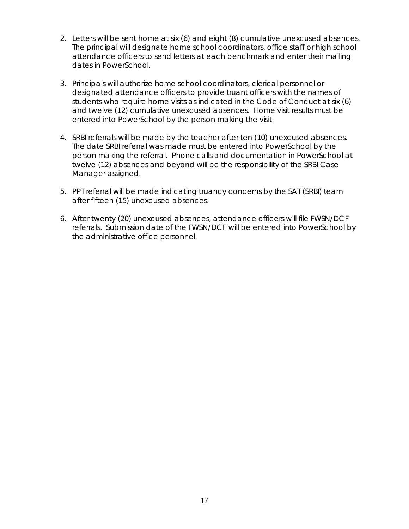- 2. Letters will be sent home at six (6) and eight (8) cumulative unexcused absences. The principal will designate home school coordinators, office staff or high school attendance officers to send letters at each benchmark and enter their mailing dates in PowerSchool.
- 3. Principals will authorize home school coordinators, clerical personnel or designated attendance officers to provide truant officers with the names of students who require home visits as indicated in the Code of Conduct at six (6) and twelve (12) cumulative unexcused absences. Home visit results must be entered into PowerSchool by the person making the visit.
- 4. SRBI referrals will be made by the teacher after ten (10) unexcused absences. The date SRBI referral was made must be entered into PowerSchool by the person making the referral. Phone calls and documentation in PowerSchool at twelve (12) absences and beyond will be the responsibility of the SRBI Case Manager assigned.
- 5. PPT referral will be made indicating truancy concerns by the SAT (SRBI) team after fifteen (15) unexcused absences.
- 6. After twenty (20) unexcused absences, attendance officers will file FWSN/DCF referrals. Submission date of the FWSN/DCF will be entered into PowerSchool by the administrative office personnel.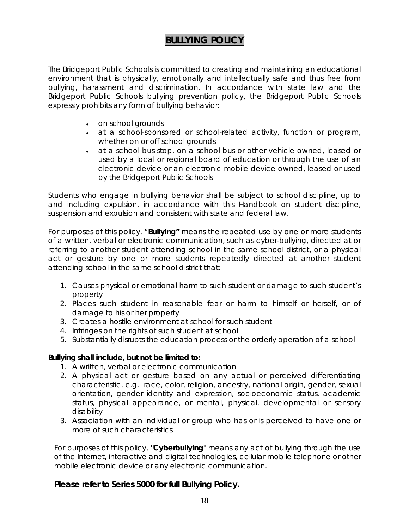## **BULLYING POLICY**

The Bridgeport Public Schools is committed to creating and maintaining an educational environment that is physically, emotionally and intellectually safe and thus free from bullying, harassment and discrimination. In accordance with state law and the Bridgeport Public Schools bullying prevention policy, the Bridgeport Public Schools expressly prohibits any form of bullying behavior:

- on school grounds
- at a school-sponsored or school-related activity, function or program, whether on or off school grounds
- at a school bus stop, on a school bus or other vehicle owned, leased or used by a local or regional board of education or through the use of an electronic device or an electronic mobile device owned, leased or used by the Bridgeport Public Schools

Students who engage in bullying behavior shall be subject to school discipline, up to and including expulsion, in accordance with this Handbook on student discipline, suspension and expulsion and consistent with state and federal law.

For purposes of this policy, "**Bullying"** means the repeated use by one or more students of a written, verbal or electronic communication, such as cyber-bullying, directed at or referring to another student attending school in the same school district, or a physical act or gesture by one or more students repeatedly directed at another student attending school in the same school district that:

- 1. Causes physical or emotional harm to such student or damage to such student's property
- 2. Places such student in reasonable fear or harm to himself or herself, or of damage to his or her property
- 3. Creates a hostile environment at school for such student
- 4. Infringes on the rights of such student at school
- 5. Substantially disrupts the education process or the orderly operation of a school

#### **Bullying shall include, but not be limited to:**

- 1. A written, verbal or electronic communication
- 2. A physical act or gesture based on any actual or perceived differentiating characteristic, e.g. race, color, religion, ancestry, national origin, gender, sexual orientation, gender identity and expression, socioeconomic status, academic status, physical appearance, or mental, physical, developmental or sensory disability
- 3. Association with an individual or group who has or is perceived to have one or more of such characteristics

For purposes of this policy, **"Cyberbullying"** means any act of bullying through the use of the Internet, interactive and digital technologies, cellular mobile telephone or other mobile electronic device or any electronic communication.

#### **Please refer to Series 5000 for full Bullying Policy.**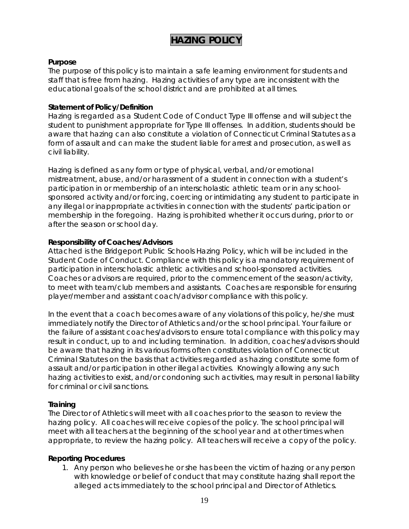## **HAZING POLICY**

#### **Purpose**

The purpose of this policy is to maintain a safe learning environment for students and staff that is free from hazing. Hazing activities of any type are inconsistent with the educational goals of the school district and are prohibited at all times.

#### **Statement of Policy/Definition**

Hazing is regarded as a Student Code of Conduct Type III offense and will subject the student to punishment appropriate for Type III offenses. In addition, students should be aware that hazing can also constitute a violation of Connecticut Criminal Statutes as a form of assault and can make the student liable for arrest and prosecution, as well as civil liability.

Hazing is defined as any form or type of physical, verbal, and/or emotional mistreatment, abuse, and/or harassment of a student in connection with a student's participation in or membership of an interscholastic athletic team or in any schoolsponsored activity and/or forcing, coercing or intimidating any student to participate in any illegal or inappropriate activities in connection with the students' participation or membership in the foregoing. Hazing is prohibited whether it occurs during, prior to or after the season or school day.

#### **Responsibility of Coaches/Advisors**

Attached is the Bridgeport Public Schools Hazing Policy, which will be included in the Student Code of Conduct. Compliance with this policy is a mandatory requirement of participation in interscholastic athletic activities and school-sponsored activities. Coaches or advisors are required, prior to the commencement of the season/activity, to meet with team/club members and assistants. Coaches are responsible for ensuring player/member and assistant coach/advisor compliance with this policy.

In the event that a coach becomes aware of any violations of this policy, he/she must immediately notify the Director of Athletics and/or the school principal. Your failure or the failure of assistant coaches/advisors to ensure total compliance with this policy may result in conduct, up to and including termination. In addition, coaches/advisors should be aware that hazing in its various forms often constitutes violation of Connecticut Criminal Statutes on the basis that activities regarded as hazing constitute some form of assault and/or participation in other illegal activities. Knowingly allowing any such hazing activities to exist, and/or condoning such activities, may result in personal liability for criminal or civil sanctions.

#### **Training**

The Director of Athletics will meet with all coaches prior to the season to review the hazing policy. All coaches will receive copies of the policy. The school principal will meet with all teachers at the beginning of the school year and at other times when appropriate, to review the hazing policy. All teachers will receive a copy of the policy.

#### **Reporting Procedures**

1. Any person who believes he or she has been the victim of hazing or any person with knowledge or belief of conduct that may constitute hazing shall report the alleged acts immediately to the school principal and Director of Athletics.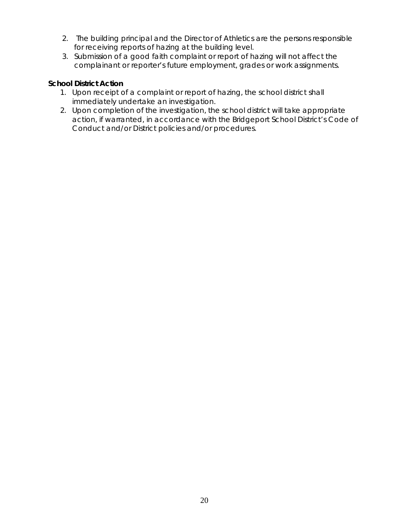- 2. The building principal and the Director of Athletics are the persons responsible for receiving reports of hazing at the building level.
- 3. Submission of a good faith complaint or report of hazing will not affect the complainant or reporter's future employment, grades or work assignments.

#### **School District Action**

- 1. Upon receipt of a complaint or report of hazing, the school district shall immediately undertake an investigation.
- 2. Upon completion of the investigation, the school district will take appropriate action, if warranted, in accordance with the Bridgeport School District's Code of Conduct and/or District policies and/or procedures.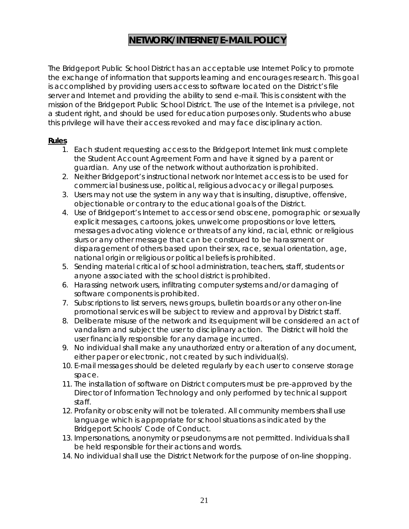## **NETWORK/INTERNET/E-MAIL POLICY**

The Bridgeport Public School District has an acceptable use Internet Policy to promote the exchange of information that supports learning and encourages research. This goal is accomplished by providing users access to software located on the District's file server and Internet and providing the ability to send e-mail. This is consistent with the mission of the Bridgeport Public School District. The use of the Internet is a privilege, not a student right, and should be used for education purposes only. Students who abuse this privilege will have their access revoked and may face disciplinary action.

#### **Rules**

- 1. Each student requesting access to the Bridgeport Internet link must complete the Student Account Agreement Form and have it signed by a parent or guardian. Any use of the network without authorization is prohibited.
- 2. Neither Bridgeport's instructional network nor Internet access is to be used for commercial business use, political, religious advocacy or illegal purposes.
- 3. Users may not use the system in any way that is insulting, disruptive, offensive, objectionable or contrary to the educational goals of the District.
- 4. Use of Bridgeport's Internet to access or send obscene, pornographic or sexually explicit messages, cartoons, jokes, unwelcome propositions or love letters, messages advocating violence or threats of any kind, racial, ethnic or religious slurs or any other message that can be construed to be harassment or disparagement of others based upon their sex, race, sexual orientation, age, national origin or religious or political beliefs is prohibited.
- 5. Sending material critical of school administration, teachers, staff, students or anyone associated with the school district is prohibited.
- 6. Harassing network users, infiltrating computer systems and/or damaging of software components is prohibited.
- 7. Subscriptions to list servers, news groups, bulletin boards or any other on-line promotional services will be subject to review and approval by District staff.
- 8. Deliberate misuse of the network and its equipment will be considered an act of vandalism and subject the user to disciplinary action. The District will hold the user financially responsible for any damage incurred.
- 9. No individual shall make any unauthorized entry or alteration of any document, either paper or electronic, not created by such individual(s).
- 10. E-mail messages should be deleted regularly by each user to conserve storage space.
- 11. The installation of software on District computers must be pre-approved by the Director of Information Technology and only performed by technical support staff.
- 12. Profanity or obscenity will not be tolerated. All community members shall use language which is appropriate for school situations as indicated by the Bridgeport Schools' Code of Conduct.
- 13. Impersonations, anonymity or pseudonyms are not permitted. Individuals shall be held responsible for their actions and words.
- 14. No individual shall use the District Network for the purpose of on-line shopping.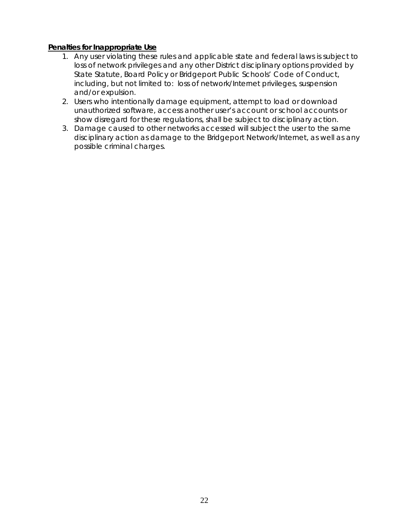#### **Penalties for Inappropriate Use**

- 1. Any user violating these rules and applicable state and federal laws is subject to loss of network privileges and any other District disciplinary options provided by State Statute, Board Policy or Bridgeport Public Schools' Code of Conduct, including, but not limited to: loss of network/Internet privileges, suspension and/or expulsion.
- 2. Users who intentionally damage equipment, attempt to load or download unauthorized software, access another user's account or school accounts or show disregard for these regulations, shall be subject to disciplinary action.
- 3. Damage caused to other networks accessed will subject the user to the same disciplinary action as damage to the Bridgeport Network/Internet, as well as any possible criminal charges.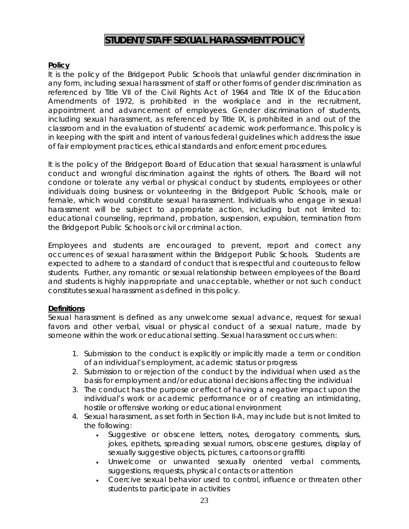## **STUDENT/STAFF SEXUAL HARASSMENT POLICY**

#### **Policy**

It is the policy of the Bridgeport Public Schools that unlawful gender discrimination in any form, including sexual harassment of staff or other forms of gender discrimination as referenced by Title VII of the Civil Rights Act of 1964 and Title IX of the Education Amendments of 1972, is prohibited in the workplace and in the recruitment, appointment and advancement of employees. Gender discrimination of students, including sexual harassment, as referenced by Title IX, is prohibited in and out of the classroom and in the evaluation of students' academic work performance. This policy is in keeping with the spirit and intent of various federal guidelines which address the issue of fair employment practices, ethical standards and enforcement procedures.

It is the policy of the Bridgeport Board of Education that sexual harassment is unlawful conduct and wrongful discrimination against the rights of others. The Board will not condone or tolerate any verbal or physical conduct by students, employees or other individuals doing business or volunteering in the Bridgeport Public Schools, male or female, which would constitute sexual harassment. Individuals who engage in sexual harassment will be subject to appropriate action, including but not limited to: educational counseling, reprimand, probation, suspension, expulsion, termination from the Bridgeport Public Schools or civil or criminal action.

Employees and students are encouraged to prevent, report and correct any occurrences of sexual harassment within the Bridgeport Public Schools. Students are expected to adhere to a standard of conduct that is respectful and courteous to fellow students. Further, any romantic or sexual relationship between employees of the Board and students is highly inappropriate and unacceptable, whether or not such conduct constitutes sexual harassment as defined in this policy.

#### **Definitions**

Sexual harassment is defined as any unwelcome sexual advance, request for sexual favors and other verbal, visual or physical conduct of a sexual nature, made by someone within the work or educational setting. Sexual harassment occurs when:

- 1. Submission to the conduct is explicitly or implicitly made a term or condition of an individual's employment, academic status or progress
- 2. Submission to or rejection of the conduct by the individual when used as the basis for employment and/or educational decisions affecting the individual
- 3. The conduct has the purpose or effect of having a negative impact upon the individual's work or academic performance or of creating an intimidating, hostile or offensive working or educational environment
- 4. Sexual harassment, as set forth in Section II-A, may include but is not limited to the following:
	- Suggestive or obscene letters, notes, derogatory comments, slurs, jokes, epithets, spreading sexual rumors, obscene gestures, display of sexually suggestive objects, pictures, cartoons or graffiti
	- Unwelcome or unwanted sexually oriented verbal comments, suggestions, requests, physical contacts or attention
	- Coercive sexual behavior used to control, influence or threaten other students to participate in activities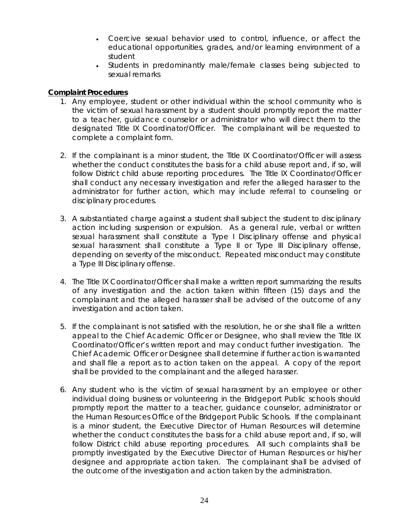- Coercive sexual behavior used to control, influence, or affect the educational opportunities, grades, and/or learning environment of a student
- Students in predominantly male/female classes being subjected to sexual remarks

#### **Complaint Procedures**

- 1. Any employee, student or other individual within the school community who is the victim of sexual harassment by a student should promptly report the matter to a teacher, guidance counselor or administrator who will direct them to the designated Title IX Coordinator/Officer. The complainant will be requested to complete a complaint form.
- 2. If the complainant is a minor student, the Title IX Coordinator/Officer will assess whether the conduct constitutes the basis for a child abuse report and, if so, will follow District child abuse reporting procedures. The Title IX Coordinator/Officer shall conduct any necessary investigation and refer the alleged harasser to the administrator for further action, which may include referral to counseling or disciplinary procedures.
- 3. A substantiated charge against a student shall subject the student to disciplinary action including suspension or expulsion. As a general rule, verbal or written sexual harassment shall constitute a Type I Disciplinary offense and physical sexual harassment shall constitute a Type II or Type III Disciplinary offense, depending on severity of the misconduct. Repeated misconduct may constitute a Type III Disciplinary offense.
- 4. The Title IX Coordinator/Officer shall make a written report summarizing the results of any investigation and the action taken within fifteen (15) days and the complainant and the alleged harasser shall be advised of the outcome of any investigation and action taken.
- 5. If the complainant is not satisfied with the resolution, he or she shall file a written appeal to the Chief Academic Officer or Designee, who shall review the Title IX Coordinator/Officer's written report and may conduct further investigation. The Chief Academic Officer or Designee shall determine if further action is warranted and shall file a report as to action taken on the appeal. A copy of the report shall be provided to the complainant and the alleged harasser.
- 6. Any student who is the victim of sexual harassment by an employee or other individual doing business or volunteering in the Bridgeport Public schools should promptly report the matter to a teacher, guidance counselor, administrator or the Human Resources Office of the Bridgeport Public Schools. If the complainant is a minor student, the Executive Director of Human Resources will determine whether the conduct constitutes the basis for a child abuse report and, if so, will follow District child abuse reporting procedures. All such complaints shall be promptly investigated by the Executive Director of Human Resources or his/her designee and appropriate action taken. The complainant shall be advised of the outcome of the investigation and action taken by the administration.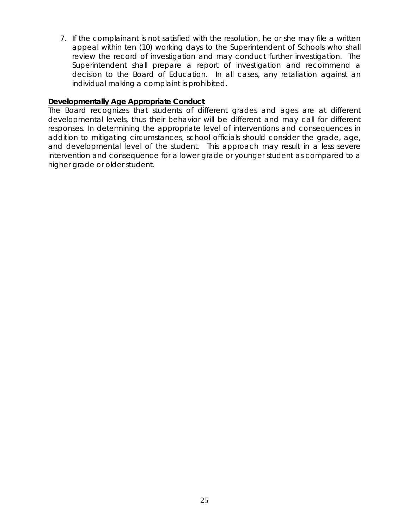7. If the complainant is not satisfied with the resolution, he or she may file a written appeal within ten (10) working days to the Superintendent of Schools who shall review the record of investigation and may conduct further investigation. The Superintendent shall prepare a report of investigation and recommend a decision to the Board of Education. In all cases, any retaliation against an individual making a complaint is prohibited.

#### **Developmentally Age Appropriate Conduct**

The Board recognizes that students of different grades and ages are at different developmental levels, thus their behavior will be different and may call for different responses. In determining the appropriate level of interventions and consequences in addition to mitigating circumstances, school officials should consider the grade, age, and developmental level of the student. This approach may result in a less severe intervention and consequence for a lower grade or younger student as compared to a higher grade or older student.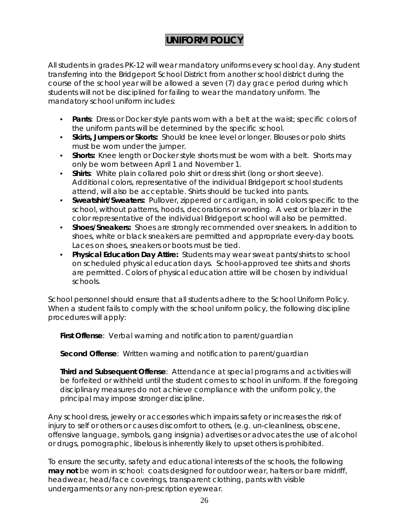## **UNIFORM POLICY**

All students in grades PK-12 will wear mandatory uniforms every school day. Any student transferring into the Bridgeport School District from another school district during the course of the school year will be allowed a seven (7) day grace period during which students will not be disciplined for failing to wear the mandatory uniform. The mandatory school uniform includes:

- **Pants**: Dress or Docker style pants worn with a belt at the waist; specific colors of the uniform pants will be determined by the specific school.
- **Skirts, Jumpers or Skorts:** Should be knee level or longer. Blouses or polo shirts must be worn under the jumper.
- **Shorts:** Knee length or Docker style shorts must be worn with a belt. Shorts may only be worn between April 1 and November 1.
- **Shirts**: White plain collared polo shirt or dress shirt (long or short sleeve). Additional colors, representative of the individual Bridgeport school students attend, will also be acceptable. Shirts should be tucked into pants.
- **Sweatshirt/Sweaters:** Pullover, zippered or cardigan, in solid colors specific to the school, without patterns, hoods, decorations or wording. A vest or blazer in the color representative of the individual Bridgeport school will also be permitted.
- **Shoes/Sneakers:** Shoes are strongly recommended over sneakers. In addition to shoes, white or black sneakers are permitted and appropriate every-day boots. Laces on shoes, sneakers or boots must be tied.
- **Physical Education Day Attire:** Students may wear sweat pants/shirts to school on scheduled physical education days. School-approved tee shirts and shorts are permitted. Colors of physical education attire will be chosen by individual schools.

School personnel should ensure that all students adhere to the School Uniform Policy. When a student fails to comply with the school uniform policy, the following discipline procedures will apply:

**First Offense**: Verbal warning and notification to parent/guardian

**Second Offense**: Written warning and notification to parent/guardian

**Third and Subsequent Offense**: Attendance at special programs and activities will be forfeited or withheld until the student comes to school in uniform. If the foregoing disciplinary measures do not achieve compliance with the uniform policy, the principal may impose stronger discipline.

Any school dress, jewelry or accessories which impairs safety or increases the risk of injury to self or others or causes discomfort to others, (e.g. un-cleanliness, obscene, offensive language, symbols, gang insignia) advertises or advocates the use of alcohol or drugs, pornographic, libelous is inherently likely to upset others is prohibited.

To ensure the security, safety and educational interests of the schools, the following **may not** be worn in school: coats designed for outdoor wear, halters or bare midriff, headwear, head/face coverings, transparent clothing, pants with visible undergarments or any non-prescription eyewear.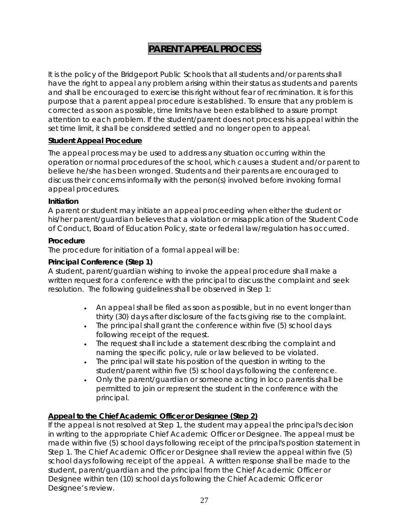## **PARENT APPEAL PROCESS**

It is the policy of the Bridgeport Public Schools that all students and/or parents shall have the right to appeal any problem arising within their status as students and parents and shall be encouraged to exercise this right without fear of recrimination. It is for this purpose that a parent appeal procedure is established. To ensure that any problem is corrected as soon as possible, time limits have been established to assure prompt attention to each problem. If the student/parent does not process his appeal within the set time limit, it shall be considered settled and no longer open to appeal.

#### **Student Appeal Procedure**

The appeal process may be used to address any situation occurring within the operation or normal procedures of the school, which causes a student and/or parent to believe he/she has been wronged. Students and their parents are encouraged to discuss their concerns informally with the person(s) involved before invoking formal appeal procedures.

#### **Initiation**

A parent or student may initiate an appeal proceeding when either the student or his/her parent/guardian believes that a violation or misapplication of the Student Code of Conduct, Board of Education Policy, state or federal law/regulation has occurred.

#### **Procedure**

The procedure for initiation of a formal appeal will be:

#### **Principal Conference (Step 1)**

A student, parent/guardian wishing to invoke the appeal procedure shall make a written request for a conference with the principal to discuss the complaint and seek resolution. The following guidelines shall be observed in Step 1:

- An appeal shall be filed as soon as possible, but in no event longer than thirty (30) days after disclosure of the facts giving rise to the complaint.
- The principal shall grant the conference within five (5) school days following receipt of the request.
- The request shall include a statement describing the complaint and naming the specific policy, rule or law believed to be violated.
- The principal will state his position of the question in writing to the student/parent within five (5) school days following the conference.
- Only the parent/guardian or someone acting in *loco parentis* shall be permitted to join or represent the student in the conference with the principal.

#### **Appeal to the Chief Academic Officer or Designee (Step 2)**

If the appeal is not resolved at Step 1, the student may appeal the principal's decision in writing to the appropriate Chief Academic Officer or Designee. The appeal must be made within five (5) school days following receipt of the principal's position statement in Step 1. The Chief Academic Officer or Designee shall review the appeal within five (5) school days following receipt of the appeal. A written response shall be made to the student, parent/guardian and the principal from the Chief Academic Officer or Designee within ten (10) school days following the Chief Academic Officer or Designee's review.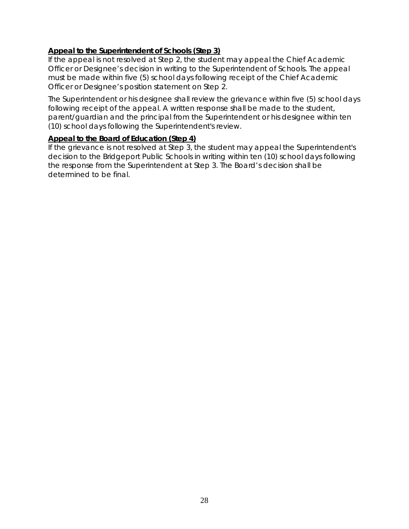#### **Appeal to the Superintendent of Schools (Step 3)**

If the appeal is not resolved at Step 2, the student may appeal the Chief Academic Officer or Designee's decision in writing to the Superintendent of Schools. The appeal must be made within five (5) school days following receipt of the Chief Academic Officer or Designee's position statement on Step 2.

The Superintendent or his designee shall review the grievance within five (5) school days following receipt of the appeal. A written response shall be made to the student, parent/guardian and the principal from the Superintendent or his designee within ten (10) school days following the Superintendent's review.

#### **Appeal to the Board of Education (Step 4)**

If the grievance is not resolved at Step 3, the student may appeal the Superintendent's decision to the Bridgeport Public Schools in writing within ten (10) school days following the response from the Superintendent at Step 3. The Board's decision shall be determined to be final.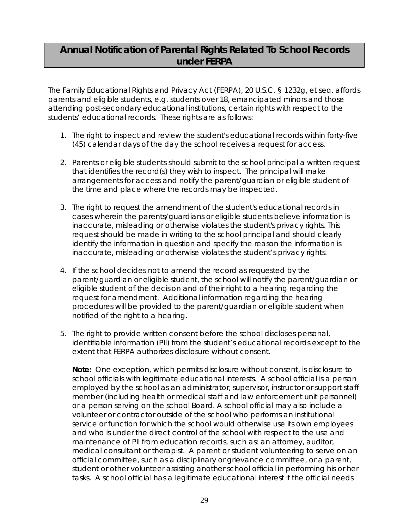## **Annual Notification of Parental Rights Related To School Records under FERPA**

The Family Educational Rights and Privacy Act (FERPA), 20 U.S.C. § 1232g, et seq. affords parents and eligible students, e.g. students over 18, emancipated minors and those attending post-secondary educational institutions, certain rights with respect to the students' educational records. These rights are as follows:

- 1. The right to inspect and review the student's educational records within forty-five (45) calendar days of the day the school receives a request for access.
- 2. Parents or eligible students should submit to the school principal a written request that identifies the record(s) they wish to inspect. The principal will make arrangements for access and notify the parent/guardian or eligible student of the time and place where the records may be inspected.
- 3. The right to request the amendment of the student's educational records in cases wherein the parents/guardians or eligible students believe information is inaccurate, misleading or otherwise violates the student's privacy rights. This request should be made in writing to the school principal and should clearly identify the information in question and specify the reason the information is inaccurate, misleading or otherwise violates the student's privacy rights.
- 4. If the school decides not to amend the record as requested by the parent/guardian or eligible student, the school will notify the parent/guardian or eligible student of the decision and of their right to a hearing regarding the request for amendment. Additional information regarding the hearing procedures will be provided to the parent/guardian or eligible student when notified of the right to a hearing.
- 5. The right to provide written consent before the school discloses personal, identifiable information (PII) from the student's educational records except to the extent that FERPA authorizes disclosure without consent.

**Note:** One exception, which permits disclosure without consent, is disclosure to school officials with legitimate educational interests. A school official is a person employed by the school as an administrator, supervisor, instructor or support staff member (including health or medical staff and law enforcement unit personnel) or a person serving on the school Board. A school official may also include a volunteer or contractor outside of the school who performs an institutional service or function for which the school would otherwise use its own employees and who is under the direct control of the school with respect to the use and maintenance of PII from education records, such as: an attorney, auditor, medical consultant or therapist. A parent or student volunteering to serve on an official committee, such as a disciplinary or grievance committee, or a parent, student or other volunteer assisting another school official in performing his or her tasks. A school official has a legitimate educational interest if the official needs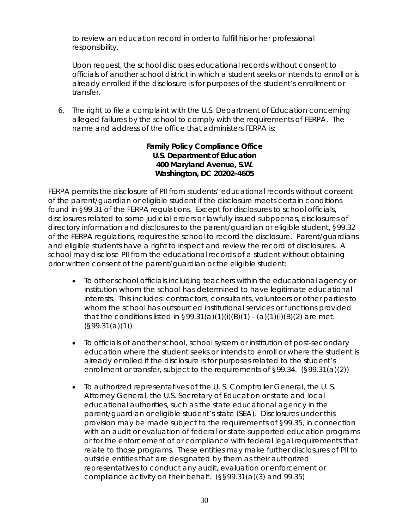to review an education record in order to fulfill his or her professional responsibility.

Upon request, the school discloses educational records without consent to officials of another school district in which a student seeks or intends to enroll or is already enrolled if the disclosure is for purposes of the student's enrollment or transfer.

6. The right to file a complaint with the U.S. Department of Education concerning alleged failures by the school to comply with the requirements of FERPA. The name and address of the office that administers FERPA is:

#### **Family Policy Compliance Office U.S. Department of Education 400 Maryland Avenue, S.W. Washington, DC 20202-4605**

FERPA permits the disclosure of PII from students' educational records without consent of the parent/guardian or eligible student if the disclosure meets certain conditions found in §99.31 of the FERPA regulations. Except for disclosures to school officials, disclosures related to some judicial orders or lawfully issued subpoenas, disclosures of directory information and disclosures to the parent/guardian or eligible student, §99.32 of the FERPA regulations, requires the school to record the disclosure. Parent/guardians and eligible students have a right to inspect and review the record of disclosures. A school may disclose PII from the educational records of a student without obtaining prior written consent of the parent/guardian or the eligible student:

- To other school officials including teachers within the educational agency or institution whom the school has determined to have legitimate educational interests. This includes: contractors, consultants, volunteers or other parties to whom the school has outsourced institutional services or functions provided that the conditions listed in  $\S 99.31(a)(1)(i)(B)(7) - (a)(1)(i)(B)(2)$  are met. (§99.31(a)(1))
- To officials of another school, school system or institution of post-secondary education where the student seeks or intends to enroll or where the student is already enrolled if the disclosure is for purposes related to the student's enrollment or transfer, subject to the requirements of §99.34. (§99.31(a)(2))
- To authorized representatives of the U. S. Comptroller General, the U. S. Attorney General, the U.S. Secretary of Education or state and local educational authorities, such as the state educational agency in the parent/guardian or eligible student's state (SEA). Disclosures under this provision may be made subject to the requirements of §99.35, in connection with an audit or evaluation of federal or state-supported education programs or for the enforcement of or compliance with federal legal requirements that relate to those programs. These entities may make further disclosures of PII to outside entities that are designated by them as their authorized representatives to conduct any audit, evaluation or enforcement or compliance activity on their behalf. (§§99.31(a)(3) and 99.35)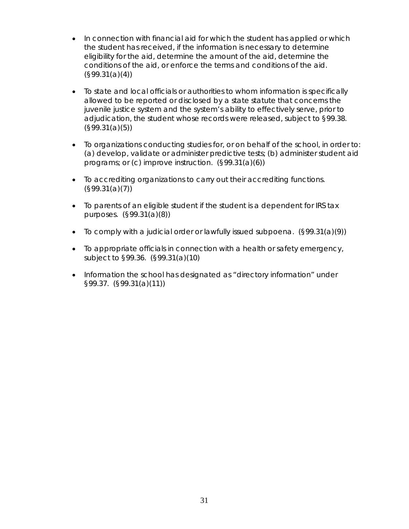- In connection with financial aid for which the student has applied or which the student has received, if the information is necessary to determine eligibility for the aid, determine the amount of the aid, determine the conditions of the aid, or enforce the terms and conditions of the aid. (§99.31(a)(4))
- To state and local officials or authorities to whom information is specifically allowed to be reported or disclosed by a state statute that concerns the juvenile justice system and the system's ability to effectively serve, prior to adjudication, the student whose records were released, subject to §99.38. (§99.31(a)(5))
- To organizations conducting studies for, or on behalf of the school, in order to: (a) develop, validate or administer predictive tests; (b) administer student aid programs; or (c) improve instruction. (§99.31(a)(6))
- To accrediting organizations to carry out their accrediting functions. (§99.31(a)(7))
- To parents of an eligible student if the student is a dependent for IRS tax purposes. (§99.31(a)(8))
- To comply with a judicial order or lawfully issued subpoena. (§99.31(a)(9))
- To appropriate officials in connection with a health or safety emergency, subject to §99.36. (§99.31(a)(10)
- Information the school has designated as "directory information" under §99.37. (§99.31(a)(11))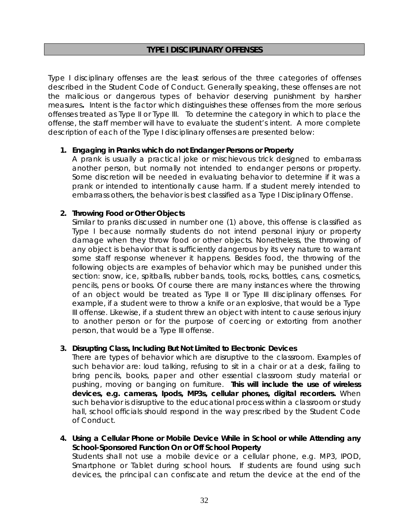#### **TYPE I DISCIPLINARY OFFENSES**

Type I disciplinary offenses are the least serious of the three categories of offenses described in the Student Code of Conduct. Generally speaking, these offenses are not the malicious or dangerous types of behavior deserving punishment by harsher measures**.** Intent is the factor which distinguishes these offenses from the more serious offenses treated as Type II or Type III. To determine the category in which to place the offense, the staff member will have to evaluate the student's intent. A more complete description of each of the Type I disciplinary offenses are presented below:

#### **1. Engaging in Pranks which do not Endanger Persons or Property**

A prank is usually a practical joke or mischievous trick designed to embarrass another person, but normally not intended to endanger persons or property. Some discretion will be needed in evaluating behavior to determine if it was a prank or intended to intentionally cause harm. If a student merely intended to embarrass others, the behavior is best classified as a Type I Disciplinary Offense.

#### **2. Throwing Food or Other Objects**

Similar to pranks discussed in number one (1) above, this offense is classified as Type I because normally students do not intend personal injury or property damage when they throw food or other objects. Nonetheless, the throwing of any object is behavior that is sufficiently dangerous by its very nature to warrant some staff response whenever it happens. Besides food, the throwing of the following objects are examples of behavior which may be punished under this section: snow, ice, spitballs, rubber bands, tools, rocks, bottles, cans, cosmetics, pencils, pens or books. Of course there are many instances where the throwing of an object would be treated as Type II or Type III disciplinary offenses. For example, if a student were to throw a knife or an explosive, that would be a Type III offense. Likewise, if a student threw an object with intent to cause serious injury to another person or for the purpose of coercing or extorting from another person, that would be a Type III offense.

#### **3. Disrupting Class, Including But Not Limited to Electronic Devices**

There are types of behavior which are disruptive to the classroom. Examples of such behavior are: loud talking, refusing to sit in a chair or at a desk, failing to bring pencils, books, paper and other essential classroom study material or pushing, moving or banging on furniture. *This will include the use of wireless devices, e.g. cameras, Ipods, MP3s, cellular phones, digital recorders.* When such behavior is disruptive to the educational process within a classroom or study hall, school officials should respond in the way prescribed by the Student Code of Conduct.

**4. Using a Cellular Phone or Mobile Device While in School or while Attending any School-Sponsored Function On or Off School Property** Students shall not use a mobile device or a cellular phone, e.g. MP3, IPOD, Smartphone or Tablet during school hours. If students are found using such

devices, the principal can confiscate and return the device at the end of the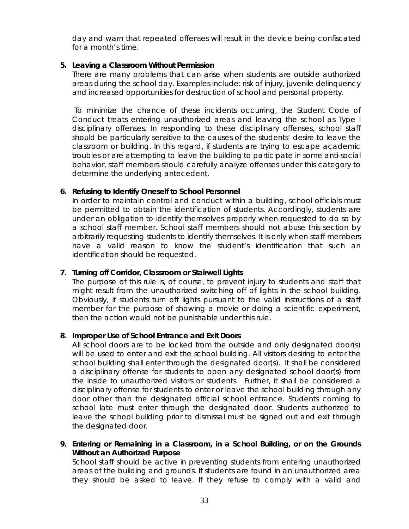day and warn that repeated offenses will result in the device being confiscated for a month's time.

#### **5. Leaving a Classroom Without Permission**

 There are many problems that can arise when students are outside authorized areas during the school day. Examples include: risk of injury, juvenile delinquency and increased opportunities for destruction of school and personal property.

 To minimize the chance of these incidents occurring, the Student Code of Conduct treats entering unauthorized areas and leaving the school as Type I disciplinary offenses. In responding to these disciplinary offenses, school staff should be particularly sensitive to the causes of the students' desire to leave the classroom or building. In this regard, if students are trying to escape academic troubles or are attempting to leave the building to participate in some anti-social behavior, staff members should carefully analyze offenses under this category to determine the underlying antecedent.

#### **6. Refusing to Identify Oneself to School Personnel**

In order to maintain control and conduct within a building, school officials must be permitted to obtain the identification of students. Accordingly, students are under an obligation to identify themselves properly when requested to do so by a school staff member. School staff members should not abuse this section by arbitrarily requesting students to identify themselves. It is only when staff members have a valid reason to know the student's identification that such an identification should be requested.

#### **7. Turning off Corridor, Classroom or Stairwell Lights**

The purpose of this rule is, of course, to prevent injury to students and staff that might result from the unauthorized switching off of lights in the school building. Obviously, if students turn off lights pursuant to the valid instructions of a staff member for the purpose of showing a movie or doing a scientific experiment, then the action would not be punishable under this rule.

#### **8. Improper Use of School Entrance and Exit Doors**

All school doors are to be locked from the outside and only designated door(s) will be used to enter and exit the school building. All visitors desiring to enter the school building shall enter through the designated door(s). It shall be considered a disciplinary offense for students to open any designated school door(s) from the inside to unauthorized visitors or students. Further, it shall be considered a disciplinary offense for students to enter or leave the school building through any door other than the designated official school entrance. Students coming to school late must enter through the designated door. Students authorized to leave the school building prior to dismissal must be signed out and exit through the designated door.

**9. Entering or Remaining in a Classroom, in a School Building, or on the Grounds Without an Authorized Purpose** 

School staff should be active in preventing students from entering unauthorized areas of the building and grounds. If students are found in an unauthorized area they should be asked to leave. If they refuse to comply with a valid and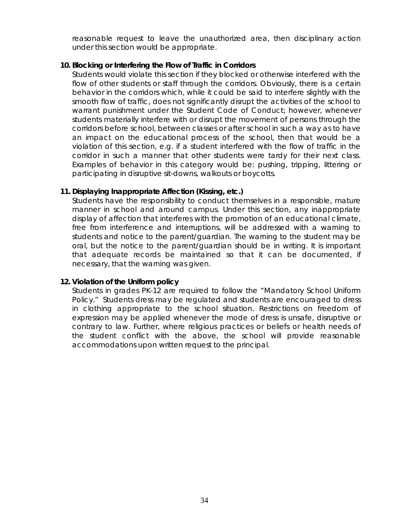reasonable request to leave the unauthorized area, then disciplinary action under this section would be appropriate.

#### **10. Blocking or Interfering the Flow of Traffic in Corridors**

Students would violate this section if they blocked or otherwise interfered with the flow of other students or staff through the corridors. Obviously, there is a certain behavior in the corridors which, while it could be said to interfere slightly with the smooth flow of traffic, does not significantly disrupt the activities of the school to warrant punishment under the Student Code of Conduct; however, whenever students materially interfere with or disrupt the movement of persons through the corridors before school, between classes or after school in such a way as to have an impact on the educational process of the school, then that would be a violation of this section, e.g. if a student interfered with the flow of traffic in the corridor in such a manner that other students were tardy for their next class. Examples of behavior in this category would be: pushing, tripping, littering or participating in disruptive sit-downs, walkouts or boycotts.

#### **11. Displaying Inappropriate Affection (Kissing, etc.)**

Students have the responsibility to conduct themselves in a responsible, mature manner in school and around campus. Under this section, any inappropriate display of affection that interferes with the promotion of an educational climate, free from interference and interruptions, will be addressed with a warning to students and notice to the parent/guardian. The warning to the student may be oral, but the notice to the parent/guardian should be in writing. It is important that adequate records be maintained so that it can be documented, if necessary, that the warning was given.

#### **12. Violation of the Uniform policy**

Students in grades PK-12 are required to follow the "Mandatory School Uniform Policy." Students dress may be regulated and students are encouraged to dress in clothing appropriate to the school situation. Restrictions on freedom of expression may be applied whenever the mode of dress is unsafe, disruptive or contrary to law. Further, where religious practices or beliefs or health needs of the student conflict with the above, the school will provide reasonable accommodations upon written request to the principal.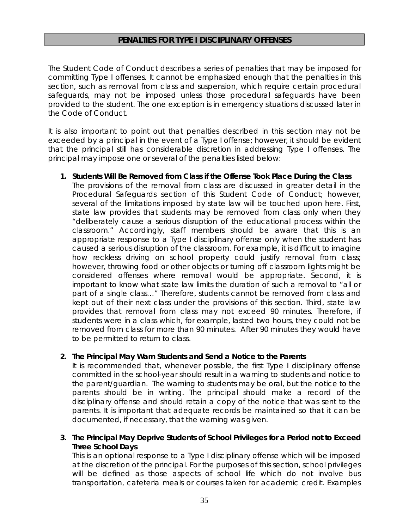#### **PENALTIES FOR TYPE I DISCIPLINARY OFFENSES**

The Student Code of Conduct describes a series of penalties that may be imposed for committing Type I offenses. It cannot be emphasized enough that the penalties in this section, such as removal from class and suspension, which require certain procedural safeguards, may not be imposed unless those procedural safeguards have been provided to the student. The one exception is in emergency situations discussed later in the Code of Conduct.

It is also important to point out that penalties described in this section may not be exceeded by a principal in the event of a Type I offense; however, it should be evident that the principal still has considerable discretion in addressing Type I offenses. The principal may impose one or several of the penalties listed below:

#### **1. Students Will Be Removed from Class if the Offense Took Place During the Class**

The provisions of the removal from class are discussed in greater detail in the Procedural Safeguards section of this Student Code of Conduct; however, several of the limitations imposed by state law will be touched upon here. First, state law provides that students may be removed from class only when they "deliberately cause a serious disruption of the educational process within the classroom." Accordingly, staff members should be aware that this is an appropriate response to a Type I disciplinary offense only when the student has caused a serious disruption of the classroom. For example, it is difficult to imagine how reckless driving on school property could justify removal from class; however, throwing food or other objects or turning off classroom lights might be considered offenses where removal would be appropriate. Second, it is important to know what state law limits the duration of such a removal to "all or part of a single class…" Therefore, students cannot be removed from class and kept out of their next class under the provisions of this section. Third, state law provides that removal from class may not exceed 90 minutes. Therefore, if students were in a class which, for example, lasted two hours, they could not be removed from class for more than 90 minutes. After 90 minutes they would have to be permitted to return to class.

#### **2. The Principal May Warn Students and Send a Notice to the Parents**

It is recommended that, whenever possible, the first Type I disciplinary offense committed in the school-year should result in a warning to students and notice to the parent/guardian. The warning to students may be oral, but the notice to the parents should be in writing. The principal should make a record of the disciplinary offense and should retain a copy of the notice that was sent to the parents. It is important that adequate records be maintained so that it can be documented, if necessary, that the warning was given.

#### **3. The Principal May Deprive Students of School Privileges for a Period not to Exceed Three School Days**

This is an optional response to a Type I disciplinary offense which will be imposed at the discretion of the principal. For the purposes of this section, school privileges will be defined as those aspects of school life which do not involve bus transportation, cafeteria meals or courses taken for academic credit. Examples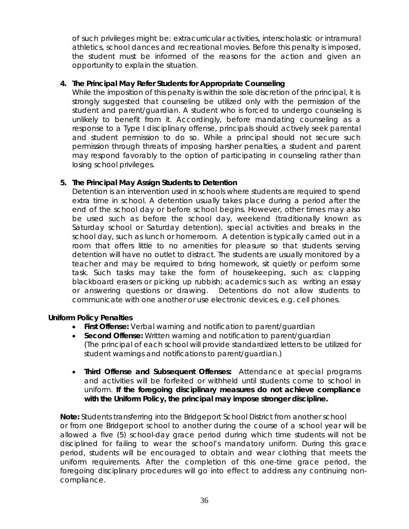of such privileges might be: extracurricular activities, interscholastic or intramural athletics, school dances and recreational movies. Before this penalty is imposed, the student must be informed of the reasons for the action and given an opportunity to explain the situation.

#### **4. The Principal May Refer Students for Appropriate Counseling**

While the imposition of this penalty is within the sole discretion of the principal, it is strongly suggested that counseling be utilized only with the permission of the student and parent/guardian. A student who is forced to undergo counseling is unlikely to benefit from it. Accordingly, before mandating counseling as a response to a Type I disciplinary offense, principals should actively seek parental and student permission to do so. While a principal should not secure such permission through threats of imposing harsher penalties, a student and parent may respond favorably to the option of participating in counseling rather than losing school privileges.

#### **5. The Principal May Assign Students to Detention**

Detention is an intervention used in schools where students are required to spend extra time in school. A detention usually takes place during a period after the end of the school day or before school begins. However, other times may also be used such as before the school day, weekend (traditionally known as Saturday school or Saturday detention), special activities and breaks in the school day, such as lunch or homeroom. A detention is typically carried out in a room that offers little to no amenities for pleasure so that students serving detention will have no outlet to distract. The students are usually monitored by a teacher and may be required to bring homework, sit quietly or perform some task. Such tasks may take the form of housekeeping, such as: clapping blackboard erasers or picking up rubbish; academics such as: writing an essay or answering questions or drawing. Detentions do not allow students to communicate with one another or use electronic devices, e.g. cell phones.

#### **Uniform Policy Penalties**

- **First Offense:** Verbal warning and notification to parent/guardian
- **Second Offense:** Written warning and notification to parent/guardian (The principal of each school will provide standardized letters to be utilized for student warnings and notifications to parent/guardian.)
- **Third Offense and Subsequent Offenses:** Attendance at special programs and activities will be forfeited or withheld until students come to school in uniform. **If the foregoing disciplinary measures do not achieve compliance with the Uniform Policy, the principal may impose stronger discipline.**

**Note:** Students transferring into the Bridgeport School District from another school or from one Bridgeport school to another during the course of a school year will be allowed a five (5) school-day grace period during which time students will not be disciplined for failing to wear the school's mandatory uniform. During this grace period, students will be encouraged to obtain and wear clothing that meets the uniform requirements. After the completion of this one-time grace period, the foregoing disciplinary procedures will go into effect to address any continuing noncompliance.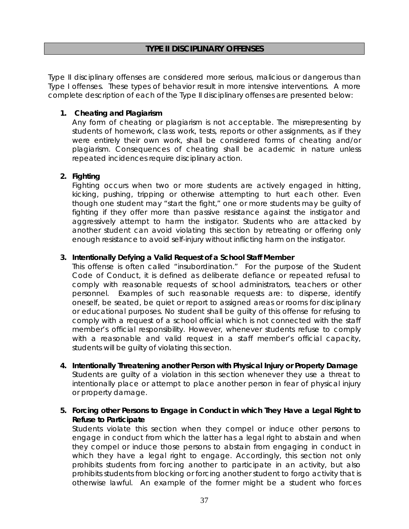#### **TYPE II DISCIPLINARY OFFENSES**

Type II disciplinary offenses are considered more serious, malicious or dangerous than Type I offenses. These types of behavior result in more intensive interventions. A more complete description of each of the Type II disciplinary offenses are presented below:

#### **1. Cheating and Plagiarism**

Any form of cheating or plagiarism is not acceptable. The misrepresenting by students of homework, class work, tests, reports or other assignments, as if they were entirely their own work, shall be considered forms of cheating and/or plagiarism. Consequences of cheating shall be academic in nature unless repeated incidences require disciplinary action.

#### **2. Fighting**

Fighting occurs when two or more students are actively engaged in hitting, kicking, pushing, tripping or otherwise attempting to hurt each other. Even though one student may "start the fight," one or more students may be guilty of fighting if they offer more than passive resistance against the instigator and aggressively attempt to harm the instigator. Students who are attacked by another student can avoid violating this section by retreating or offering only enough resistance to avoid self-injury without inflicting harm on the instigator.

#### **3. Intentionally Defying a Valid Request of a School Staff Member**

This offense is often called "insubordination." For the purpose of the Student Code of Conduct, it is defined as deliberate defiance or repeated refusal to comply with reasonable requests of school administrators, teachers or other personnel. Examples of such reasonable requests are: to disperse, identify oneself, be seated, be quiet or report to assigned areas or rooms for disciplinary or educational purposes. No student shall be guilty of this offense for refusing to comply with a request of a school official which is not connected with the staff member's official responsibility. However, whenever students refuse to comply with a reasonable and valid request in a staff member's official capacity, students will be guilty of violating this section.

- **4. Intentionally Threatening another Person with Physical Injury or Property Damage**  Students are guilty of a violation in this section whenever they use a threat to intentionally place or attempt to place another person in fear of physical injury or property damage.
- **5. Forcing other Persons to Engage in Conduct in which They Have a Legal Right to Refuse to Participate**

Students violate this section when they compel or induce other persons to engage in conduct from which the latter has a legal right to abstain and when they compel or induce those persons to abstain from engaging in conduct in which they have a legal right to engage. Accordingly, this section not only prohibits students from forcing another to participate in an activity, but also prohibits students from blocking or forcing another student to forgo activity that is otherwise lawful. An example of the former might be a student who forces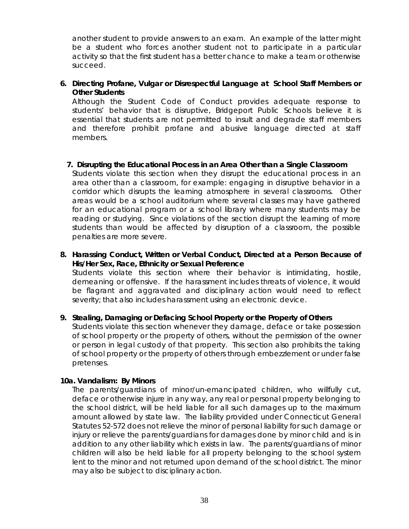another student to provide answers to an exam. An example of the latter might be a student who forces another student not to participate in a particular activity so that the first student has a better chance to make a team or otherwise succeed.

#### **6. Directing Profane, Vulgar or Disrespectful Language at School Staff Members or Other Students**

Although the Student Code of Conduct provides adequate response to students' behavior that is disruptive, Bridgeport Public Schools believe it is essential that students are not permitted to insult and degrade staff members and therefore prohibit profane and abusive language directed at staff members.

#### **7. Disrupting the Educational Process in an Area Other than a Single Classroom**

Students violate this section when they disrupt the educational process in an area other than a classroom, for example: engaging in disruptive behavior in a corridor which disrupts the learning atmosphere in several classrooms. Other areas would be a school auditorium where several classes may have gathered for an educational program or a school library where many students may be reading or studying. Since violations of the section disrupt the learning of more students than would be affected by disruption of a classroom, the possible penalties are more severe.

#### **8. Harassing Conduct, Written or Verbal Conduct, Directed at a Person Because of His/Her Sex, Race, Ethnicity or Sexual Preference**

Students violate this section where their behavior is intimidating, hostile, demeaning or offensive. If the harassment includes threats of violence, it would be flagrant and aggravated and disciplinary action would need to reflect severity; that also includes harassment using an electronic device.

#### **9. Stealing, Damaging or Defacing School Property or the Property of Others**

Students violate this section whenever they damage, deface or take possession of school property or the property of others, without the permission of the owner or person in legal custody of that property. This section also prohibits the taking of school property or the property of others through embezzlement or under false pretenses.

#### **10a. Vandalism: By Minors**

The parents/guardians of minor/un-emancipated children, who willfully cut, deface or otherwise injure in any way, any real or personal property belonging to the school district, will be held liable for all such damages up to the maximum amount allowed by state law. The liability provided under Connecticut General Statutes 52-572 does not relieve the minor of personal liability for such damage or injury or relieve the parents/guardians for damages done by minor child and is in addition to any other liability which exists in law. The parents/guardians of minor children will also be held liable for all property belonging to the school system lent to the minor and not returned upon demand of the school district. The minor may also be subject to disciplinary action.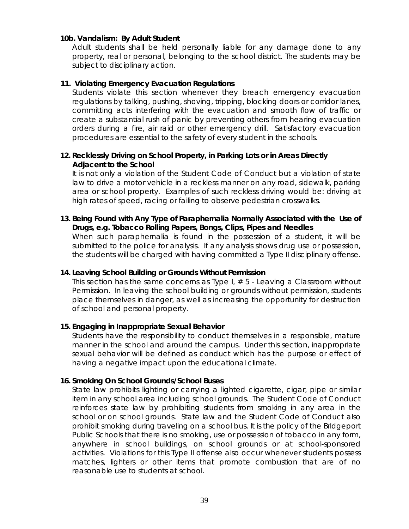#### **10b. Vandalism: By Adult Student**

Adult students shall be held personally liable for any damage done to any property, real or personal, belonging to the school district. The students may be subject to disciplinary action.

#### **11. Violating Emergency Evacuation Regulations**

Students violate this section whenever they breach emergency evacuation regulations by talking, pushing, shoving, tripping, blocking doors or corridor lanes, committing acts interfering with the evacuation and smooth flow of traffic or create a substantial rush of panic by preventing others from hearing evacuation orders during a fire, air raid or other emergency drill. Satisfactory evacuation procedures are essential to the safety of every student in the schools.

#### **12. Recklessly Driving on School Property, in Parking Lots or in Areas Directly Adjacent to the School**

It is not only a violation of the Student Code of Conduct but a violation of state law to drive a motor vehicle in a reckless manner on any road, sidewalk, parking area or school property. Examples of such reckless driving would be: driving at high rates of speed, racing or failing to observe pedestrian crosswalks.

#### **13. Being Found with Any Type of Paraphernalia Normally Associated with the Use of Drugs, e.g. Tobacco Rolling Papers, Bongs, Clips, Pipes and Needles**

When such paraphernalia is found in the possession of a student, it will be submitted to the police for analysis. If any analysis shows drug use or possession, the students will be charged with having committed a Type II disciplinary offense.

#### **14. Leaving School Building or Grounds Without Permission**

This section has the same concerns as Type I, # 5 - Leaving a Classroom without Permission. In leaving the school building or grounds without permission, students place themselves in danger, as well as increasing the opportunity for destruction of school and personal property.

#### **15. Engaging in Inappropriate Sexual Behavior**

Students have the responsibility to conduct themselves in a responsible, mature manner in the school and around the campus. Under this section, inappropriate sexual behavior will be defined as conduct which has the purpose or effect of having a negative impact upon the educational climate.

#### **16. Smoking On School Grounds/School Buses**

State law prohibits lighting or carrying a lighted cigarette, cigar, pipe or similar item in any school area including school grounds. The Student Code of Conduct reinforces state law by prohibiting students from smoking in any area in the school or on school grounds. State law and the Student Code of Conduct also prohibit smoking during traveling on a school bus. It is the policy of the Bridgeport Public Schools that there is no smoking, use or possession of tobacco in any form, anywhere in school buildings, on school grounds or at school-sponsored activities. Violations for this Type II offense also occur whenever students possess matches, lighters or other items that promote combustion that are of no reasonable use to students at school.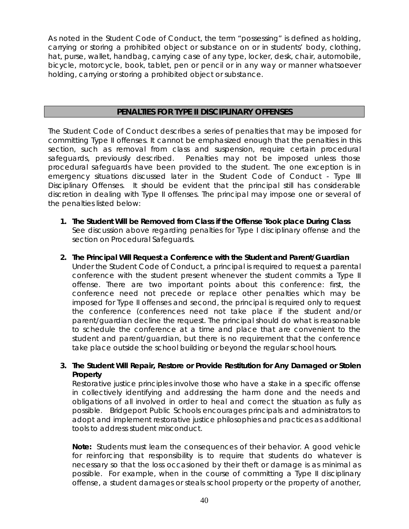As noted in the Student Code of Conduct, the term "possessing" is defined as holding, carrying or storing a prohibited object or substance on or in students' body, clothing, hat, purse, wallet, handbag, carrying case of any type, locker, desk, chair, automobile, bicycle, motorcycle, book, tablet, pen or pencil or in any way or manner whatsoever holding, carrying or storing a prohibited object or substance.

#### **PENALTIES FOR TYPE II DISCIPLINARY OFFENSES**

The Student Code of Conduct describes a series of penalties that may be imposed for committing Type II offenses. It cannot be emphasized enough that the penalties in this section, such as removal from class and suspension, require certain procedural safeguards, previously described. Penalties may not be imposed unless those procedural safeguards have been provided to the student. The one exception is in emergency situations discussed later in the Student Code of Conduct - Type III Disciplinary Offenses. It should be evident that the principal still has considerable discretion in dealing with Type II offenses. The principal may impose one or several of the penalties listed below:

- **1. The Student Will be Removed from Class if the Offense Took place During Class**  See discussion above regarding penalties for Type I disciplinary offense and the section on Procedural Safeguards.
- **2. The Principal Will Request a Conference with the Student and Parent/Guardian**

Under the Student Code of Conduct, a principal is required to request a parental conference with the student present whenever the student commits a Type II offense. There are two important points about this conference: first, the conference need not precede or replace other penalties which may be imposed for Type II offenses and second, the principal is required only to request the conference (conferences need not take place if the student and/or parent/guardian decline the request. The principal should do what is reasonable to schedule the conference at a time and place that are convenient to the student and parent/guardian, but there is no requirement that the conference take place outside the school building or beyond the regular school hours.

#### **3. The Student Will Repair, Restore or Provide Restitution for Any Damaged or Stolen Property**

Restorative justice principles involve those who have a stake in a specific offense in collectively identifying and addressing the harm done and the needs and obligations of all involved in order to heal and correct the situation as fully as possible. Bridgeport Public Schools encourages principals and administrators to adopt and implement restorative justice philosophies and practices as additional tools to address student misconduct.

**Note:** Students must learn the consequences of their behavior. A good vehicle for reinforcing that responsibility is to require that students do whatever is necessary so that the loss occasioned by their theft or damage is as minimal as possible. For example, when in the course of committing a Type II disciplinary offense, a student damages or steals school property or the property of another,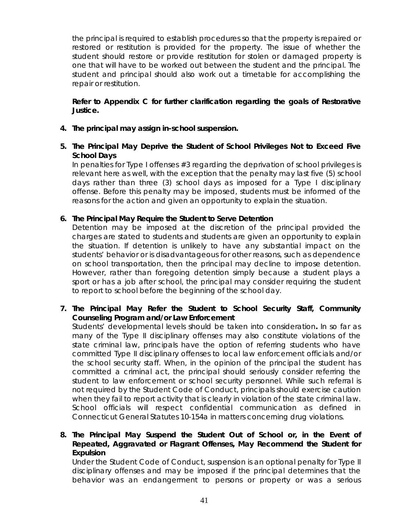the principal is required to establish procedures so that the property is repaired or restored or restitution is provided for the property. The issue of whether the student should restore or provide restitution for stolen or damaged property is one that will have to be worked out between the student and the principal. The student and principal should also work out a timetable for accomplishing the repair or restitution.

**Refer to Appendix C for further clarification regarding the goals of Restorative Justice***.* 

- **4. The principal may assign in-school suspension.**
- **5. The Principal May Deprive the Student of School Privileges Not to Exceed Five School Days**

In penalties for Type I offenses #3 regarding the deprivation of school privileges is relevant here as well, with the exception that the penalty may last five (5) school days rather than three (3) school days as imposed for a Type I disciplinary offense. Before this penalty may be imposed, students must be informed of the reasons for the action and given an opportunity to explain the situation.

#### **6. The Principal May Require the Student to Serve Detention**

Detention may be imposed at the discretion of the principal provided the charges are stated to students and students are given an opportunity to explain the situation. If detention is unlikely to have any substantial impact on the students' behavior or is disadvantageous for other reasons, such as dependence on school transportation, then the principal may decline to impose detention. However, rather than foregoing detention simply because a student plays a sport or has a job after school, the principal may consider requiring the student to report to school before the beginning of the school day.

**7. The Principal May Refer the Student to School Security Staff, Community Counseling Program and/or Law Enforcement**

Students' developmental levels should be taken into consideration**.** In so far as many of the Type II disciplinary offenses may also constitute violations of the state criminal law, principals have the option of referring students who have committed Type II disciplinary offenses to local law enforcement officials and/or the school security staff. When, in the opinion of the principal the student has committed a criminal act, the principal should seriously consider referring the student to law enforcement or school security personnel. While such referral is not required by the Student Code of Conduct, principals should exercise caution when they fail to report activity that is clearly in violation of the state criminal law. School officials will respect confidential communication as defined in Connecticut General Statutes 10-154a in matters concerning drug violations.

**8. The Principal May Suspend the Student Out of School or, in the Event of Repeated, Aggravated or Flagrant Offenses, May Recommend the Student for Expulsion**

Under the Student Code of Conduct, suspension is an optional penalty for Type II disciplinary offenses and may be imposed if the principal determines that the behavior was an endangerment to persons or property or was a serious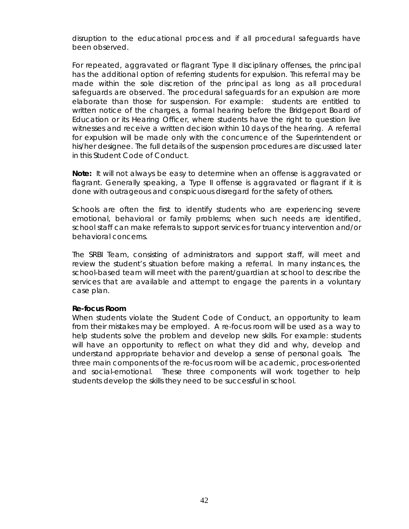disruption to the educational process and if all procedural safeguards have been observed.

For repeated, aggravated or flagrant Type II disciplinary offenses, the principal has the additional option of referring students for expulsion. This referral may be made within the sole discretion of the principal as long as all procedural safeguards are observed. The procedural safeguards for an expulsion are more elaborate than those for suspension. For example: students are entitled to written notice of the charges, a formal hearing before the Bridgeport Board of Education or its Hearing Officer, where students have the right to question live witnesses and receive a written decision within 10 days of the hearing. A referral for expulsion will be made only with the concurrence of the Superintendent or his/her designee. The full details of the suspension procedures are discussed later in this Student Code of Conduct.

**Note:** It will not always be easy to determine when an offense is aggravated or flagrant. Generally speaking, a Type II offense is aggravated or flagrant if it is done with outrageous and conspicuous disregard for the safety of others.

Schools are often the first to identify students who are experiencing severe emotional, behavioral or family problems; when such needs are identified, school staff can make referrals to support services for truancy intervention and/or behavioral concerns.

The SRBI Team, consisting of administrators and support staff, will meet and review the student's situation before making a referral. In many instances, the school-based team will meet with the parent/guardian at school to describe the services that are available and attempt to engage the parents in a voluntary case plan.

#### **Re-focus Room**

When students violate the Student Code of Conduct, an opportunity to learn from their mistakes may be employed. A re-focus room will be used as a way to help students solve the problem and develop new skills. For example: students will have an opportunity to reflect on what they did and why, develop and understand appropriate behavior and develop a sense of personal goals. The three main components of the re-focus room will be academic, process-oriented and social-emotional. These three components will work together to help students develop the skills they need to be successful in school*.*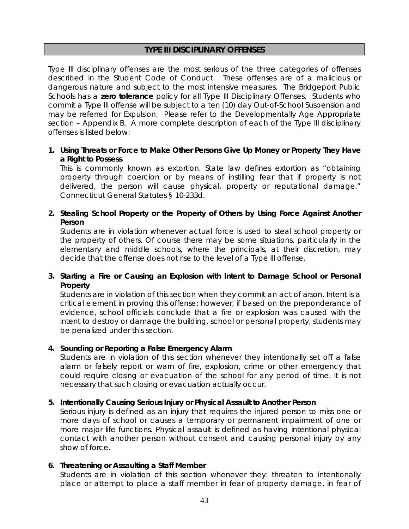#### **TYPE III DISCIPLINARY OFFENSES**

Type III disciplinary offenses are the most serious of the three categories of offenses described in the Student Code of Conduct. These offenses are of a malicious or dangerous nature and subject to the most intensive measures. The Bridgeport Public Schools has a **zero tolerance** policy for all Type III Disciplinary Offenses. Students who commit a Type III offense will be subject to a ten (10) day Out-of-School Suspension and may be referred for Expulsion. Please refer to the Developmentally Age Appropriate section – Appendix B. A more complete description of each of the Type III disciplinary offenses is listed below:

**1. Using Threats or Force to Make Other Persons Give Up Money or Property They Have a Right to Possess** 

This is commonly known as extortion. State law defines extortion as "obtaining property through coercion or by means of instilling fear that if property is not delivered, the person will cause physical, property or reputational damage." Connecticut General Statutes § 10-233d.

**2. Stealing School Property or the Property of Others by Using Force Against Another Person** 

Students are in violation whenever actual force is used to steal school property or the property of others. Of course there may be some situations, particularly in the elementary and middle schools, where the principals, at their discretion, may decide that the offense does not rise to the level of a Type III offense.

#### **3. Starting a Fire or Causing an Explosion with Intent to Damage School or Personal Property**

Students are in violation of this section when they commit an act of arson. Intent is a critical element in proving this offense; however, if based on the preponderance of evidence, school officials conclude that a fire or explosion was caused with the intent to destroy or damage the building, school or personal property, students may be penalized under this section.

#### **4. Sounding or Reporting a False Emergency Alarm**

Students are in violation of this section whenever they intentionally set off a false alarm or falsely report or warn of fire, explosion, crime or other emergency that could require closing or evacuation of the school for any period of time. It is not necessary that such closing or evacuation actually occur.

#### **5. Intentionally Causing Serious Injury or Physical Assault to Another Person**

Serious injury is defined as an injury that requires the injured person to miss one or more days of school or causes a temporary or permanent impairment of one or more major life functions. Physical assault is defined as having intentional physical contact with another person without consent and causing personal injury by any show of force.

#### **6. Threatening or Assaulting a Staff Member**

Students are in violation of this section whenever they: threaten to intentionally place or attempt to place a staff member in fear of property damage, in fear of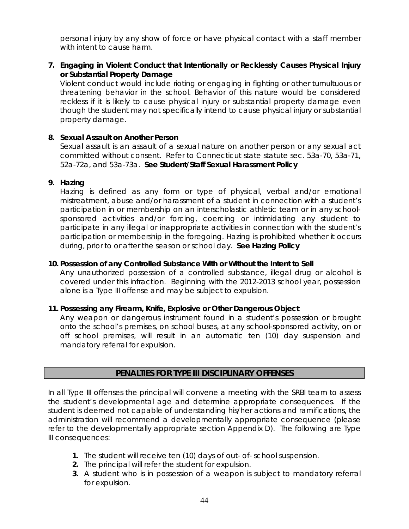personal injury by any show of force or have physical contact with a staff member with intent to cause harm.

**7. Engaging in Violent Conduct that Intentionally or Recklessly Causes Physical Injury or Substantial Property Damage** 

Violent conduct would include rioting or engaging in fighting or other tumultuous or threatening behavior in the school. Behavior of this nature would be considered reckless if it is likely to cause physical injury or substantial property damage even though the student may not specifically intend to cause physical injury or substantial property damage.

#### **8. Sexual Assault on Another Person**

Sexual assault is an [assault](http://en.wikipedia.org/wiki/Assault) of a sexual nature on another person or any sexual act committed without consent. Refer to Connecticut state statute sec. 53a-70, 53a-71, 52a-72a, and 53a-73a. **See Student/Staff Sexual Harassment Policy** 

#### **9. Hazing**

Hazing is defined as any form or type of physical, verbal and/or emotional mistreatment, abuse and/or harassment of a student in connection with a student's participation in or membership on an interscholastic athletic team or in any schoolsponsored activities and/or forcing, coercing or intimidating any student to participate in any illegal or inappropriate activities in connection with the student's participation or membership in the foregoing. Hazing is prohibited whether it occurs during, prior to or after the season or school day. **See Hazing Policy**

#### **10. Possession of any Controlled Substance With or Without the Intent to Sell**

Any unauthorized possession of a controlled substance, illegal drug or alcohol is covered under this infraction. Beginning with the 2012-2013 school year, possession alone is a Type III offense and may be subject to expulsion.

#### **11. Possessing any Firearm, Knife, Explosive or Other Dangerous Object**

Any weapon or dangerous instrument found in a student's possession or brought onto the school's premises, on school buses, at any school-sponsored activity, on or off school premises, will result in an automatic ten (10) day suspension and mandatory referral for expulsion.

#### **PENALTIES FOR TYPE III DISCIPLINARY OFFENSES**

In all Type III offenses the principal will convene a meeting with the SRBI team to assess the student's developmental age and determine appropriate consequences. If the student is deemed not capable of understanding his/her actions and ramifications, the administration will recommend a developmentally appropriate consequence (please refer to the developmentally appropriate section Appendix D). The following are Type III consequences:

- **1.** The student will receive ten (10) days of out- of- school suspension.
- **2.** The principal will refer the student for expulsion.
- **3.** A student who is in possession of a weapon is subject to mandatory referral for expulsion.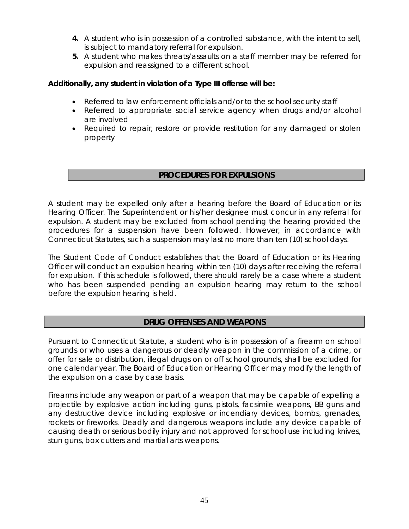- **4.** A student who is in possession of a controlled substance, with the intent to sell, is subject to mandatory referral for expulsion.
- **5.** A student who makes threats/assaults on a staff member may be referred for expulsion and reassigned to a different school.

#### **Additionally, any student in violation of a Type III offense will be:**

- Referred to law enforcement officials and/or to the school security staff
- Referred to appropriate social service agency when drugs and/or alcohol are involved
- Required to repair, restore or provide restitution for any damaged or stolen property

#### **PROCEDURES FOR EXPULSIONS**

A student may be expelled only after a hearing before the Board of Education or its Hearing Officer. The Superintendent or his/her designee must concur in any referral for expulsion. A student may be excluded from school pending the hearing provided the procedures for a suspension have been followed. However, in accordance with Connecticut Statutes, such a suspension may last no more than ten (10) school days.

The Student Code of Conduct establishes that the Board of Education or its Hearing Officer will conduct an expulsion hearing within ten (10) days after receiving the referral for expulsion. If this schedule is followed, there should rarely be a case where a student who has been suspended pending an expulsion hearing may return to the school before the expulsion hearing is held.

#### **DRUG OFFENSES AND WEAPONS**

Pursuant to Connecticut Statute, a student who is in possession of a firearm on school grounds or who uses a dangerous or deadly weapon in the commission of a crime, or offer for sale or distribution, illegal drugs on or off school grounds, shall be excluded for one calendar year. The Board of Education or Hearing Officer may modify the length of the expulsion on a case by case basis.

Firearms include any weapon or part of a weapon that may be capable of expelling a projectile by explosive action including guns, pistols, facsimile weapons, BB guns and any destructive device including explosive or incendiary devices, bombs, grenades, rockets or fireworks. Deadly and dangerous weapons include any device capable of causing death or serious bodily injury and not approved for school use including knives, stun guns, box cutters and martial arts weapons.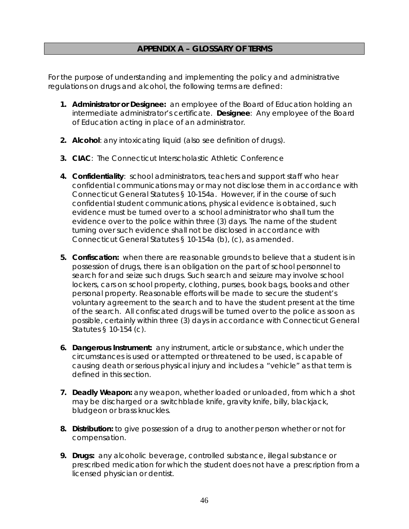#### **APPENDIX A – GLOSSARY OF TERMS**

For the purpose of understanding and implementing the policy and administrative regulations on drugs and alcohol, the following terms are defined:

- **1. Administrator or Designee:** an employee of the Board of Education holding an intermediate administrator's certificate. **Designee**: Any employee of the Board of Education acting in place of an administrator.
- **2. Alcohol**: any intoxicating liquid (also see definition of drugs).
- **3. CIAC**: The Connecticut Interscholastic Athletic Conference
- **4. Confidentiality**: school administrators, teachers and support staff who hear confidential communications may or may not disclose them in accordance with Connecticut General Statutes § 10-154a. However, if in the course of such confidential student communications, physical evidence is obtained, such evidence must be turned over to a school administrator who shall turn the evidence over to the police within three (3) days. The name of the student turning over such evidence shall not be disclosed in accordance with Connecticut General Statutes § 10-154a (b), (c), as amended.
- **5. Confiscation:** when there are reasonable grounds to believe that a student is in possession of drugs, there is an obligation on the part of school personnel to search for and seize such drugs. Such search and seizure may involve school lockers, cars on school property, clothing, purses, book bags, books and other personal property. Reasonable efforts will be made to secure the student's voluntary agreement to the search and to have the student present at the time of the search. All confiscated drugs will be turned over to the police as soon as possible, certainly within three (3) days in accordance with Connecticut General Statutes § 10-154 (c).
- **6. Dangerous Instrument:** any instrument, article or substance, which under the circumstances is used or attempted or threatened to be used, is capable of causing death or serious physical injury and includes a "vehicle" as that term is defined in this section.
- **7. Deadly Weapon:** any weapon, whether loaded or unloaded, from which a shot may be discharged or a switchblade knife, gravity knife, billy, blackjack, bludgeon or brass knuckles.
- **8. Distribution:** to give possession of a drug to another person whether or not for compensation.
- **9. Drugs:** any alcoholic beverage, controlled substance, illegal substance or prescribed medication for which the student does not have a prescription from a licensed physician or dentist.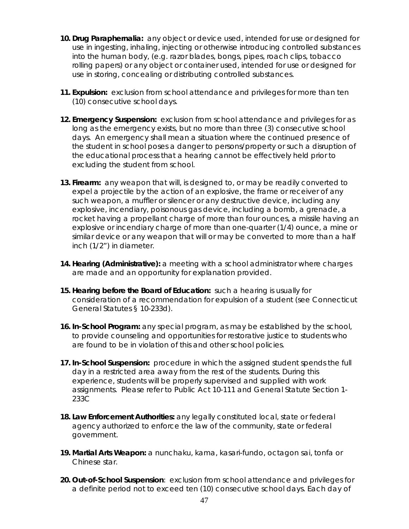- **10. Drug Paraphernalia:** any object or device used, intended for use or designed for use in ingesting, inhaling, injecting or otherwise introducing controlled substances into the human body, (e.g. razor blades, bongs, pipes, roach clips, tobacco rolling papers) or any object or container used, intended for use or designed for use in storing, concealing or distributing controlled substances.
- **11. Expulsion:** exclusion from school attendance and privileges for more than ten (10) consecutive school days.
- **12. Emergency Suspension:** exclusion from school attendance and privileges for as long as the emergency exists, but no more than three (3) consecutive school days. An emergency shall mean a situation where the continued presence of the student in school poses a danger to persons/property or such a disruption of the educational process that a hearing cannot be effectively held prior to excluding the student from school.
- **13. Firearm:** any weapon that will, is designed to, or may be readily converted to expel a projectile by the action of an explosive, the frame or receiver of any such weapon, a muffler or silencer or any destructive device, including any explosive, incendiary, poisonous gas device, including a bomb, a grenade, a rocket having a propellant charge of more than four ounces, a missile having an explosive or incendiary charge of more than one-quarter (1/4) ounce, a mine or similar device or any weapon that will or may be converted to more than a half inch (1/2") in diameter.
- **14. Hearing (Administrative):** a meeting with a school administrator where charges are made and an opportunity for explanation provided.
- **15. Hearing before the Board of Education:** such a hearing is usually for consideration of a recommendation for expulsion of a student (see Connecticut General Statutes § 10-233d).
- **16. In-School Program:** any special program, as may be established by the school, to provide counseling and opportunities for restorative justice to students who are found to be in violation of this and other school policies.
- **17. In-School Suspension:** procedure in which the assigned student spends the full day in a restricted area away from the rest of the students. During this experience, students will be properly supervised and supplied with work assignments. Please refer to Public Act 10-111 and General Statute Section 1- 233C
- **18. Law Enforcement Authorities:** any legally constituted local, state or federal agency authorized to enforce the law of the community, state or federal government.
- **19. Martial Arts Weapon:** a nunchaku, kama, kasari-fundo, octagon sai, tonfa or Chinese star.
- **20. Out-of-School Suspension**: exclusion from school attendance and privileges for a definite period not to exceed ten (10) consecutive school days. Each day of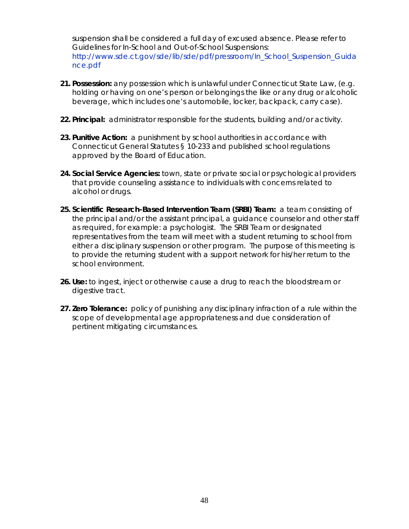suspension shall be considered a full day of excused absence. Please refer to Guidelines for In-School and Out-of-School Suspensions: http://www.sde.ct.gov/sde/lib/sde/pdf/pressroom/In\_School\_Suspension\_Guida nce.pdf

- **21. Possession:** any possession which is unlawful under Connecticut State Law, (e.g. holding or having on one's person or belongings the like or any drug or alcoholic beverage, which includes one's automobile, locker, backpack, carry case).
- **22. Principal:** administrator responsible for the students, building and/or activity.
- **23. Punitive Action:** a punishment by school authorities in accordance with Connecticut General Statutes § 10-233 and published school regulations approved by the Board of Education.
- **24. Social Service Agencies:** town, state or private social or psychological providers that provide counseling assistance to individuals with concerns related to alcohol or drugs.
- **25. Scientific Research-Based Intervention Team (SRBI) Team:** a team consisting of the principal and/or the assistant principal, a guidance counselor and other staff as required, for example: a psychologist. The SRBI Team or designated representatives from the team will meet with a student returning to school from either a disciplinary suspension or other program. The purpose of this meeting is to provide the returning student with a support network for his/her return to the school environment.
- **26. Use:** to ingest, inject or otherwise cause a drug to reach the bloodstream or digestive tract.
- **27. Zero Tolerance:** policy of punishing any disciplinary infraction of a rule within the scope of developmental age appropriateness and due consideration of pertinent mitigating circumstances.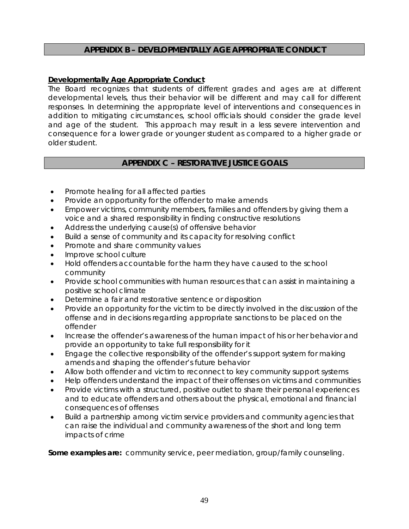#### **APPENDIX B – DEVELOPMENTALLY AGE APPROPRIATE CONDUCT**

#### **Developmentally Age Appropriate Conduct**

The Board recognizes that students of different grades and ages are at different developmental levels, thus their behavior will be different and may call for different responses. In determining the appropriate level of interventions and consequences in addition to mitigating circumstances, school officials should consider the grade level and age of the student. This approach may result in a less severe intervention and consequence for a lower grade or younger student as compared to a higher grade or older student.

#### **APPENDIX C – RESTORATIVE JUSTICE GOALS**

- Promote healing for all affected parties
- Provide an opportunity for the offender to make amends
- Empower victims, community members, families and offenders by giving them a voice and a shared responsibility in finding constructive resolutions
- Address the underlying cause(s) of offensive behavior
- Build a sense of community and its capacity for resolving conflict
- Promote and share community values
- Improve school culture
- Hold offenders accountable for the harm they have caused to the school community
- Provide school communities with human resources that can assist in maintaining a positive school climate
- Determine a fair and restorative sentence or disposition
- Provide an opportunity for the victim to be directly involved in the discussion of the offense and in decisions regarding appropriate sanctions to be placed on the offender
- Increase the offender's awareness of the human impact of his or her behavior and provide an opportunity to take full responsibility for it
- Engage the collective responsibility of the offender's support system for making amends and shaping the offender's future behavior
- Allow both offender and victim to reconnect to key community support systems
- Help offenders understand the impact of their offenses on victims and communities
- Provide victims with a structured, positive outlet to share their personal experiences and to educate offenders and others about the physical, emotional and financial consequences of offenses
- Build a partnership among victim service providers and community agencies that can raise the individual and community awareness of the short and long term impacts of crime

**Some examples are:** community service, peer mediation, group/family counseling.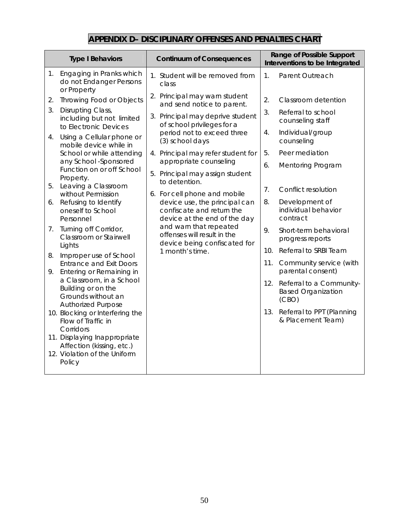## **APPENDIX D– DISCIPLINARY OFFENSES AND PENALTIES CHART**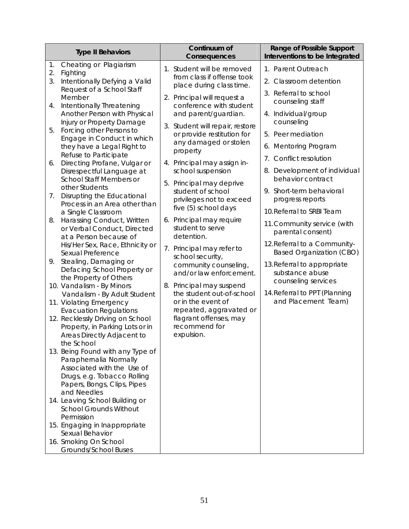|                                                                                                                                                                                                                                                                                                                                                                                                                                                                                                                                                                                                                                                                                                                                                                                                                                                                                                                                                                                                                                                                                                                                                                                                                                                                                                                                                                                                                                    |                                                                                                                                                                                                                                                                                                                                                                                                                                                                                                                                                                                                                                                                                                                                                                 | Interventions to be Integrated                                                                                                                                                                                                                                                                                                                                                                                                                                                                                                                                                                              |
|------------------------------------------------------------------------------------------------------------------------------------------------------------------------------------------------------------------------------------------------------------------------------------------------------------------------------------------------------------------------------------------------------------------------------------------------------------------------------------------------------------------------------------------------------------------------------------------------------------------------------------------------------------------------------------------------------------------------------------------------------------------------------------------------------------------------------------------------------------------------------------------------------------------------------------------------------------------------------------------------------------------------------------------------------------------------------------------------------------------------------------------------------------------------------------------------------------------------------------------------------------------------------------------------------------------------------------------------------------------------------------------------------------------------------------|-----------------------------------------------------------------------------------------------------------------------------------------------------------------------------------------------------------------------------------------------------------------------------------------------------------------------------------------------------------------------------------------------------------------------------------------------------------------------------------------------------------------------------------------------------------------------------------------------------------------------------------------------------------------------------------------------------------------------------------------------------------------|-------------------------------------------------------------------------------------------------------------------------------------------------------------------------------------------------------------------------------------------------------------------------------------------------------------------------------------------------------------------------------------------------------------------------------------------------------------------------------------------------------------------------------------------------------------------------------------------------------------|
| Cheating or Plagiarism<br>1.<br>2.<br>Fighting<br>Intentionally Defying a Valid<br>3.<br>Request of a School Staff<br>Member<br>Intentionally Threatening<br>4.<br>Another Person with Physical<br>Injury or Property Damage<br>Forcing other Persons to<br>5.<br>Engage in Conduct in which<br>they have a Legal Right to<br>property<br>Refuse to Participate<br>Directing Profane, Vulgar or<br>6.<br>Disrespectful Language at<br>School Staff Members or<br>other Students<br>Disrupting the Educational<br>7.<br>Process in an Area other than<br>a Single Classroom<br>Harassing Conduct, Written<br>8.<br>or Verbal Conduct, Directed<br>at a Person because of<br>His/Her Sex, Race, Ethnicity or<br>Sexual Preference<br>Stealing, Damaging or<br>9.<br>Defacing School Property or<br>the Property of Others<br>10. Vandalism - By Minors<br>Vandalism - By Adult Student<br>11. Violating Emergency<br><b>Evacuation Regulations</b><br>12. Recklessly Driving on School<br>Property, in Parking Lots or in<br>Areas Directly Adjacent to<br>the School<br>13. Being Found with any Type of<br>Paraphernalia Normally<br>Associated with the Use of<br>Drugs, e.g. Tobacco Rolling<br>Papers, Bongs, Clips, Pipes<br>and Needles<br>14. Leaving School Building or<br><b>School Grounds Without</b><br>Permission<br>15. Engaging in Inappropriate<br>Sexual Behavior<br>16. Smoking On School<br>Grounds/School Buses | 1. Student will be removed<br>from class if offense took<br>place during class time.<br>2. Principal will request a<br>conference with student<br>and parent/guardian.<br>3. Student will repair, restore<br>or provide restitution for<br>any damaged or stolen<br>4. Principal may assign in-<br>school suspension<br>5. Principal may deprive<br>student of school<br>privileges not to exceed<br>five (5) school days<br>6. Principal may require<br>student to serve<br>detention.<br>7. Principal may refer to<br>school security,<br>community counseling,<br>and/or law enforcement.<br>8. Principal may suspend<br>the student out-of-school<br>or in the event of<br>repeated, aggravated or<br>flagrant offenses, may<br>recommend for<br>expulsion. | 1. Parent Outreach<br>2. Classroom detention<br>3. Referral to school<br>counseling staff<br>4. Individual/group<br>counseling<br>5. Peer mediation<br>6. Mentoring Program<br>Conflict resolution<br>$7_{\cdot}$<br>8. Development of individual<br>behavior contract<br>9. Short-term behavioral<br>progress reports<br>10. Referral to SRBI Team<br>11. Community service (with<br>parental consent)<br>12. Referral to a Community-<br><b>Based Organization (CBO)</b><br>13. Referral to appropriate<br>substance abuse<br>counseling services<br>14. Referral to PPT (Planning<br>and Placement Team) |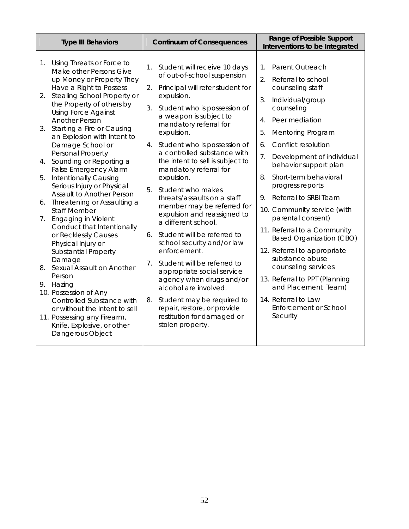| <b>Type III Behaviors</b>                                                                                                                                                                                                         | <b>Continuum of Consequences</b>                                                                                                                                                                     | Range of Possible Support<br>Interventions to be Integrated                                                                      |  |
|-----------------------------------------------------------------------------------------------------------------------------------------------------------------------------------------------------------------------------------|------------------------------------------------------------------------------------------------------------------------------------------------------------------------------------------------------|----------------------------------------------------------------------------------------------------------------------------------|--|
| Using Threats or Force to<br>1 <sub>1</sub><br>Make other Persons Give<br>up Money or Property They<br>Have a Right to Possess                                                                                                    | Student will receive 10 days<br>1.<br>of out-of-school suspension<br>2.<br>Principal will refer student for                                                                                          | 1.<br>Parent Outreach<br>$\overline{2}$ .<br>Referral to school<br>counseling staff                                              |  |
| Stealing School Property or<br>2.<br>the Property of others by<br><b>Using Force Against</b><br><b>Another Person</b><br>Starting a Fire or Causing<br>3.<br>an Explosion with Intent to                                          | expulsion.<br>Student who is possession of<br>3.<br>a weapon is subject to<br>mandatory referral for<br>expulsion.                                                                                   | 3.<br>Individual/group<br>counseling<br>Peer mediation<br>4.<br>5.<br><b>Mentoring Program</b>                                   |  |
| Damage School or<br>Personal Property<br>Sounding or Reporting a<br>4.<br><b>False Emergency Alarm</b><br>Intentionally Causing<br>5.                                                                                             | Student who is possession of<br>4.<br>a controlled substance with<br>the intent to sell is subject to<br>mandatory referral for<br>expulsion.                                                        | Conflict resolution<br>6.<br>7.<br>Development of individual<br>behavior support plan<br>Short-term behavioral<br>8.             |  |
| Serious Injury or Physical<br><b>Assault to Another Person</b><br>Threatening or Assaulting a<br>6.<br><b>Staff Member</b><br><b>Engaging in Violent</b><br>7.<br>Conduct that Intentionally                                      | 5.<br>Student who makes<br>threats/assaults on a staff<br>member may be referred for<br>expulsion and reassigned to<br>a different school.                                                           | progress reports<br>Referral to SRBI Team<br>9.<br>10. Community service (with<br>parental consent)                              |  |
| or Recklessly Causes<br>Physical Injury or<br><b>Substantial Property</b><br>Damage                                                                                                                                               | Student will be referred to<br>6.<br>school security and/or law<br>enforcement.<br>Student will be referred to<br>$7_{\cdot}$                                                                        | 11. Referral to a Community<br>Based Organization (CBO)<br>12. Referral to appropriate<br>substance abuse<br>counseling services |  |
| Sexual Assault on Another<br>8.<br>Person<br>9.<br>Hazing<br>10. Possession of Any<br>Controlled Substance with<br>or without the Intent to sell<br>11. Possessing any Firearm,<br>Knife, Explosive, or other<br>Dangerous Object | appropriate social service<br>agency when drugs and/or<br>alcohol are involved.<br>Student may be required to<br>8.<br>repair, restore, or provide<br>restitution for damaged or<br>stolen property. | 13. Referral to PPT (Planning<br>and Placement Team)<br>14. Referral to Law<br><b>Enforcement or School</b><br>Security          |  |